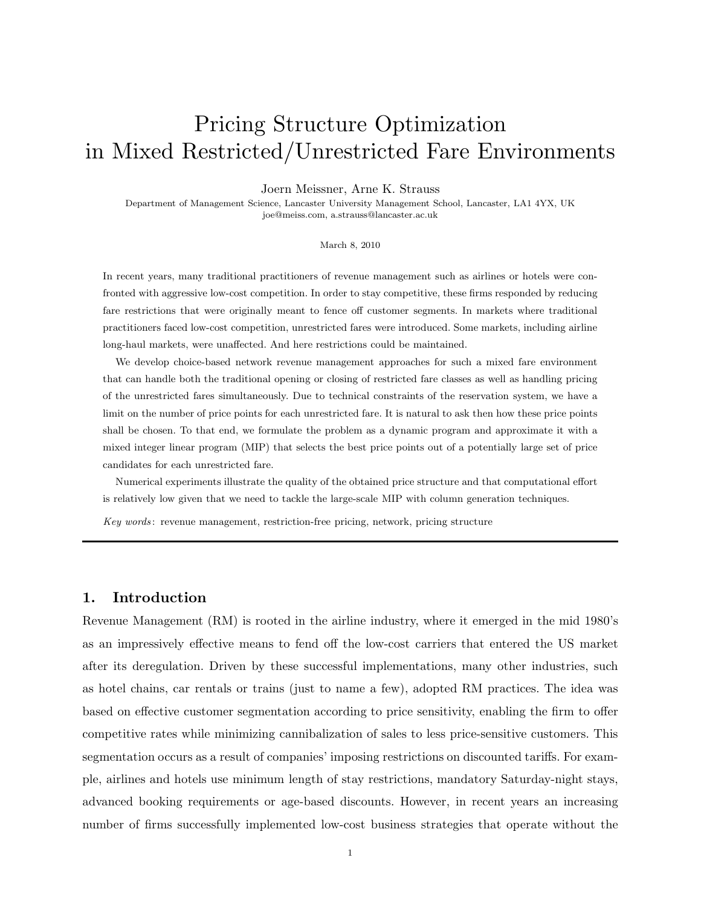# Pricing Structure Optimization [in Mixed Restricted/Unrestricted Fare Environments](http://www.meiss.com/download/RM-Meissner-Strauss-03.pdf)

[Joern Meissner,](http://www.meiss.com/) [Arne K. Strauss](http://www.meiss.com/en/team/arne-strauss/)

Department of Management Science, Lancaster University Management School, Lancaster, LA1 4YX, UK joe@meiss.com, a.strauss@lancaster.ac.uk

#### March 8, 2010

In recent years, many traditional practitioners of revenue management such as airlines or hotels were con[fronted with aggressive low-cost competition. In order to stay competitive, these firms responded by reducing](http://www.meiss.com/en/publications/pricing-structure-optimization.html) fare restrictions that were originally meant to fence off customer segments. In markets where traditional practitioners faced low-cost competition, unrestricted fares were introduced. Some markets, including airline long-haul markets, were unaffected. And here restrictions could be maintained.

We develop choice-based network revenue management approaches for such a mixed fare environment that can handle both the traditional opening or closing of restricted fare classes as well as handling pricing of the unrestricted fares simultaneously. Due to technical constraints of the reservation system, we have a limit on the number of price points for each unrestricted fare. It is natural to ask then how these price points shall be chosen. To that end, we formulate the problem as a dynamic program and approximate it with a mixed integer linear program (MIP) that selects the best price points out of a potentially large set of price candidates for each unrestricted fare.

Numerical experiments illustrate the quality of the obtained price structure and that computational effort is relatively low given that we need to tackle the large-scale MIP with column generation techniques.

Key words : revenue management, restriction-free pricing, network, pricing structure

#### 1. Introduction

Revenue Management (RM) is rooted in the airline industry, where it emerged in the mid 1980's as an impressively effective means to fend off the low-cost carriers that entered the US market after its deregulation. Driven by these successful implementations, many other industries, such as hotel chains, car rentals or trains (just to name a few), adopted RM practices. The idea was based on effective customer segmentation according to price sensitivity, enabling the firm to offer competitive rates while minimizing cannibalization of sales to less price-sensitive customers. This segmentation occurs as a result of companies' imposing restrictions on discounted tariffs. For example, airlines and hotels use minimum length of stay restrictions, mandatory Saturday-night stays, advanced booking requirements or age-based discounts. However, in recent years an increasing number of firms successfully implemented low-cost business strategies that operate without the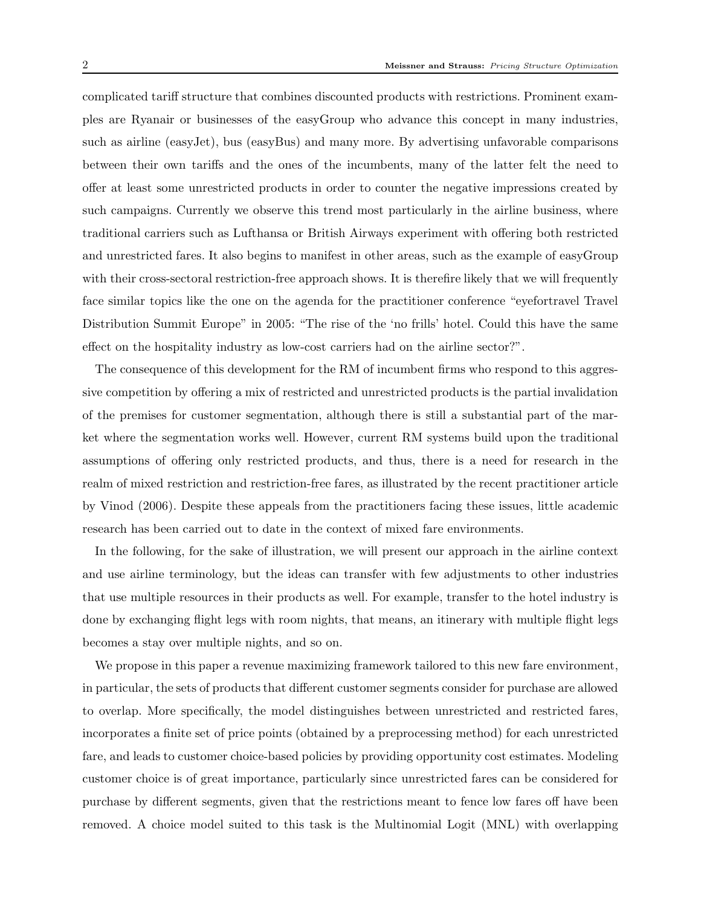complicated tariff structure that combines discounted products with restrictions. Prominent examples are Ryanair or businesses of the easyGroup who advance this concept in many industries, such as airline (easyJet), bus (easyBus) and many more. By advertising unfavorable comparisons between their own tariffs and the ones of the incumbents, many of the latter felt the need to offer at least some unrestricted products in order to counter the negative impressions created by such campaigns. Currently we observe this trend most particularly in the airline business, where traditional carriers such as Lufthansa or British Airways experiment with offering both restricted and unrestricted fares. It also begins to manifest in other areas, such as the example of easyGroup with their cross-sectoral restriction-free approach shows. It is therefire likely that we will frequently face similar topics like the one on the agenda for the practitioner conference "eyefortravel Travel Distribution Summit Europe" in 2005: "The rise of the 'no frills' hotel. Could this have the same effect on the hospitality industry as low-cost carriers had on the airline sector?".

The consequence of this development for the RM of incumbent firms who respond to this aggressive competition by offering a mix of restricted and unrestricted products is the partial invalidation of the premises for customer segmentation, although there is still a substantial part of the market where the segmentation works well. However, current RM systems build upon the traditional assumptions of offering only restricted products, and thus, there is a need for research in the realm of mixed restriction and restriction-free fares, as illustrated by the recent practitioner article by Vinod (2006). Despite these appeals from the practitioners facing these issues, little academic research has been carried out to date in the context of mixed fare environments.

In the following, for the sake of illustration, we will present our approach in the airline context and use airline terminology, but the ideas can transfer with few adjustments to other industries that use multiple resources in their products as well. For example, transfer to the hotel industry is done by exchanging flight legs with room nights, that means, an itinerary with multiple flight legs becomes a stay over multiple nights, and so on.

We propose in this paper a revenue maximizing framework tailored to this new fare environment, in particular, the sets of products that different customer segments consider for purchase are allowed to overlap. More specifically, the model distinguishes between unrestricted and restricted fares, incorporates a finite set of price points (obtained by a preprocessing method) for each unrestricted fare, and leads to customer choice-based policies by providing opportunity cost estimates. Modeling customer choice is of great importance, particularly since unrestricted fares can be considered for purchase by different segments, given that the restrictions meant to fence low fares off have been removed. A choice model suited to this task is the Multinomial Logit (MNL) with overlapping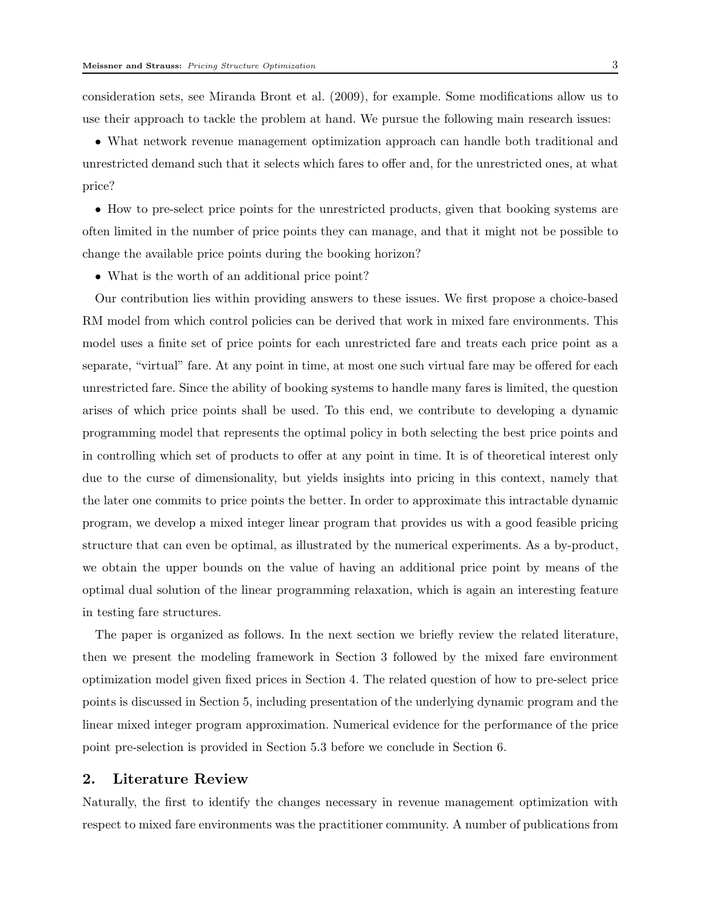consideration sets, see Miranda Bront et al. (2009), for example. Some modifications allow us to use their approach to tackle the problem at hand. We pursue the following main research issues:

• What network revenue management optimization approach can handle both traditional and unrestricted demand such that it selects which fares to offer and, for the unrestricted ones, at what price?

• How to pre-select price points for the unrestricted products, given that booking systems are often limited in the number of price points they can manage, and that it might not be possible to change the available price points during the booking horizon?

• What is the worth of an additional price point?

Our contribution lies within providing answers to these issues. We first propose a choice-based RM model from which control policies can be derived that work in mixed fare environments. This model uses a finite set of price points for each unrestricted fare and treats each price point as a separate, "virtual" fare. At any point in time, at most one such virtual fare may be offered for each unrestricted fare. Since the ability of booking systems to handle many fares is limited, the question arises of which price points shall be used. To this end, we contribute to developing a dynamic programming model that represents the optimal policy in both selecting the best price points and in controlling which set of products to offer at any point in time. It is of theoretical interest only due to the curse of dimensionality, but yields insights into pricing in this context, namely that the later one commits to price points the better. In order to approximate this intractable dynamic program, we develop a mixed integer linear program that provides us with a good feasible pricing structure that can even be optimal, as illustrated by the numerical experiments. As a by-product, we obtain the upper bounds on the value of having an additional price point by means of the optimal dual solution of the linear programming relaxation, which is again an interesting feature in testing fare structures.

The paper is organized as follows. In the next section we briefly review the related literature, then we present the modeling framework in Section 3 followed by the mixed fare environment optimization model given fixed prices in Section 4. The related question of how to pre-select price points is discussed in Section 5, including presentation of the underlying dynamic program and the linear mixed integer program approximation. Numerical evidence for the performance of the price point pre-selection is provided in Section 5.3 before we conclude in Section 6.

# 2. Literature Review

Naturally, the first to identify the changes necessary in revenue management optimization with respect to mixed fare environments was the practitioner community. A number of publications from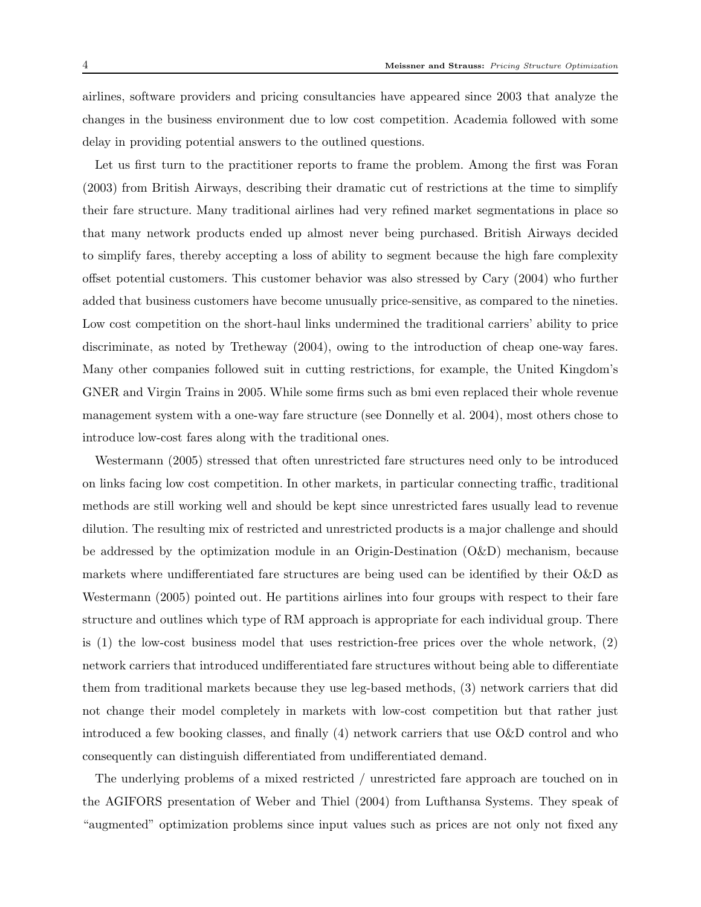airlines, software providers and pricing consultancies have appeared since 2003 that analyze the changes in the business environment due to low cost competition. Academia followed with some delay in providing potential answers to the outlined questions.

Let us first turn to the practitioner reports to frame the problem. Among the first was Foran (2003) from British Airways, describing their dramatic cut of restrictions at the time to simplify their fare structure. Many traditional airlines had very refined market segmentations in place so that many network products ended up almost never being purchased. British Airways decided to simplify fares, thereby accepting a loss of ability to segment because the high fare complexity offset potential customers. This customer behavior was also stressed by Cary (2004) who further added that business customers have become unusually price-sensitive, as compared to the nineties. Low cost competition on the short-haul links undermined the traditional carriers' ability to price discriminate, as noted by Tretheway (2004), owing to the introduction of cheap one-way fares. Many other companies followed suit in cutting restrictions, for example, the United Kingdom's GNER and Virgin Trains in 2005. While some firms such as bmi even replaced their whole revenue management system with a one-way fare structure (see Donnelly et al. 2004), most others chose to introduce low-cost fares along with the traditional ones.

Westermann (2005) stressed that often unrestricted fare structures need only to be introduced on links facing low cost competition. In other markets, in particular connecting traffic, traditional methods are still working well and should be kept since unrestricted fares usually lead to revenue dilution. The resulting mix of restricted and unrestricted products is a major challenge and should be addressed by the optimization module in an Origin-Destination (O&D) mechanism, because markets where undifferentiated fare structures are being used can be identified by their O&D as Westermann (2005) pointed out. He partitions airlines into four groups with respect to their fare structure and outlines which type of RM approach is appropriate for each individual group. There is (1) the low-cost business model that uses restriction-free prices over the whole network, (2) network carriers that introduced undifferentiated fare structures without being able to differentiate them from traditional markets because they use leg-based methods, (3) network carriers that did not change their model completely in markets with low-cost competition but that rather just introduced a few booking classes, and finally (4) network carriers that use O&D control and who consequently can distinguish differentiated from undifferentiated demand.

The underlying problems of a mixed restricted / unrestricted fare approach are touched on in the AGIFORS presentation of Weber and Thiel (2004) from Lufthansa Systems. They speak of "augmented" optimization problems since input values such as prices are not only not fixed any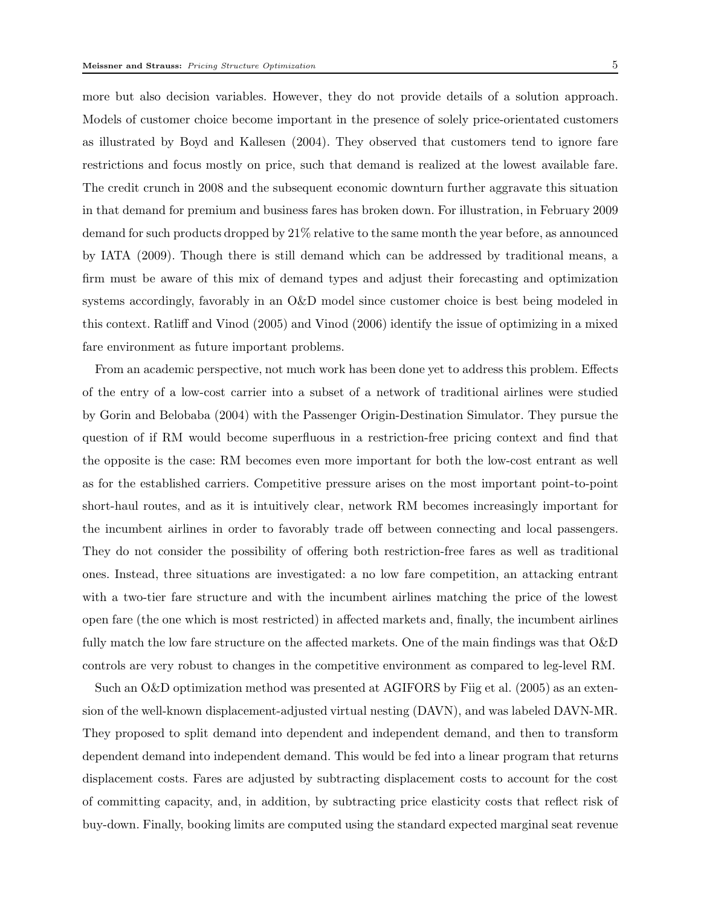more but also decision variables. However, they do not provide details of a solution approach. Models of customer choice become important in the presence of solely price-orientated customers as illustrated by Boyd and Kallesen (2004). They observed that customers tend to ignore fare restrictions and focus mostly on price, such that demand is realized at the lowest available fare. The credit crunch in 2008 and the subsequent economic downturn further aggravate this situation in that demand for premium and business fares has broken down. For illustration, in February 2009 demand for such products dropped by 21% relative to the same month the year before, as announced by IATA (2009). Though there is still demand which can be addressed by traditional means, a firm must be aware of this mix of demand types and adjust their forecasting and optimization systems accordingly, favorably in an O&D model since customer choice is best being modeled in this context. Ratliff and Vinod (2005) and Vinod (2006) identify the issue of optimizing in a mixed fare environment as future important problems.

From an academic perspective, not much work has been done yet to address this problem. Effects of the entry of a low-cost carrier into a subset of a network of traditional airlines were studied by Gorin and Belobaba (2004) with the Passenger Origin-Destination Simulator. They pursue the question of if RM would become superfluous in a restriction-free pricing context and find that the opposite is the case: RM becomes even more important for both the low-cost entrant as well as for the established carriers. Competitive pressure arises on the most important point-to-point short-haul routes, and as it is intuitively clear, network RM becomes increasingly important for the incumbent airlines in order to favorably trade off between connecting and local passengers. They do not consider the possibility of offering both restriction-free fares as well as traditional ones. Instead, three situations are investigated: a no low fare competition, an attacking entrant with a two-tier fare structure and with the incumbent airlines matching the price of the lowest open fare (the one which is most restricted) in affected markets and, finally, the incumbent airlines fully match the low fare structure on the affected markets. One of the main findings was that O&D controls are very robust to changes in the competitive environment as compared to leg-level RM.

Such an O&D optimization method was presented at AGIFORS by Fiig et al. (2005) as an extension of the well-known displacement-adjusted virtual nesting (DAVN), and was labeled DAVN-MR. They proposed to split demand into dependent and independent demand, and then to transform dependent demand into independent demand. This would be fed into a linear program that returns displacement costs. Fares are adjusted by subtracting displacement costs to account for the cost of committing capacity, and, in addition, by subtracting price elasticity costs that reflect risk of buy-down. Finally, booking limits are computed using the standard expected marginal seat revenue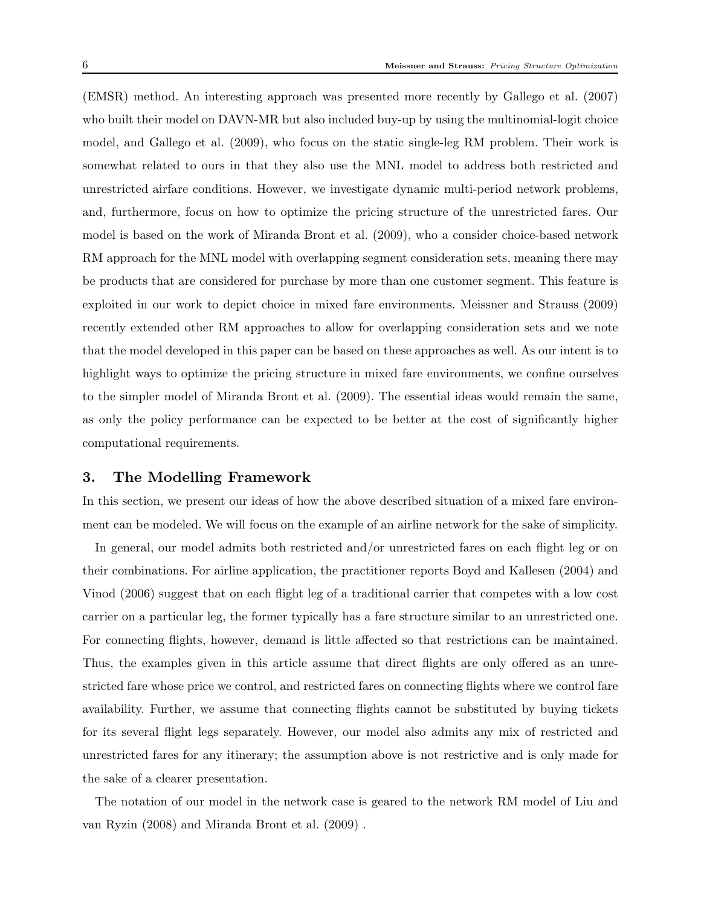(EMSR) method. An interesting approach was presented more recently by Gallego et al. (2007) who built their model on DAVN-MR but also included buy-up by using the multinomial-logit choice model, and Gallego et al. (2009), who focus on the static single-leg RM problem. Their work is somewhat related to ours in that they also use the MNL model to address both restricted and unrestricted airfare conditions. However, we investigate dynamic multi-period network problems, and, furthermore, focus on how to optimize the pricing structure of the unrestricted fares. Our model is based on the work of Miranda Bront et al. (2009), who a consider choice-based network RM approach for the MNL model with overlapping segment consideration sets, meaning there may be products that are considered for purchase by more than one customer segment. This feature is exploited in our work to depict choice in mixed fare environments. [Meissner](http://www.meiss.com/) and Strauss (2009) recently extended other RM approaches to allow for overlapping consideration sets and we note that the model developed in this paper can be based on these approaches as well. As our intent is to highlight ways to optimize the pricing structure in mixed fare environments, we confine ourselves to the simpler model of Miranda Bront et al. (2009). The essential ideas would remain the same, as only the policy performance can be expected to be better at the cost of significantly higher computational requirements.

# 3. The Modelling Framework

In this section, we present our ideas of how the above described situation of a mixed fare environment can be modeled. We will focus on the example of an airline network for the sake of simplicity.

In general, our model admits both restricted and/or unrestricted fares on each flight leg or on their combinations. For airline application, the practitioner reports Boyd and Kallesen (2004) and Vinod (2006) suggest that on each flight leg of a traditional carrier that competes with a low cost carrier on a particular leg, the former typically has a fare structure similar to an unrestricted one. For connecting flights, however, demand is little affected so that restrictions can be maintained. Thus, the examples given in this article assume that direct flights are only offered as an unrestricted fare whose price we control, and restricted fares on connecting flights where we control fare availability. Further, we assume that connecting flights cannot be substituted by buying tickets for its several flight legs separately. However, our model also admits any mix of restricted and unrestricted fares for any itinerary; the assumption above is not restrictive and is only made for the sake of a clearer presentation.

The notation of our model in the network case is geared to the network RM model of Liu and van Ryzin (2008) and Miranda Bront et al. (2009) .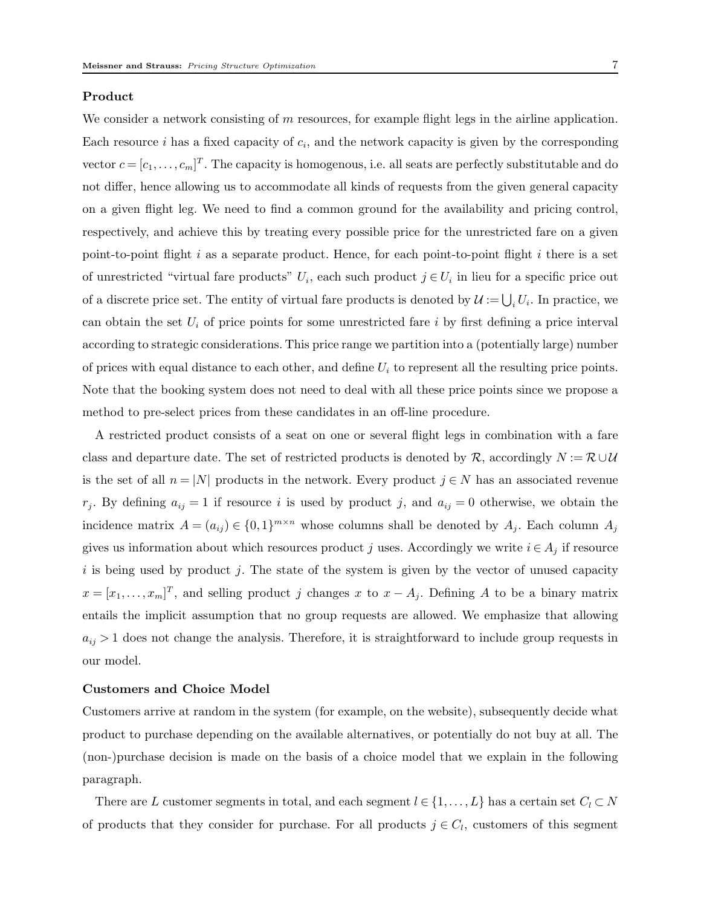#### Product

We consider a network consisting of  $m$  resources, for example flight legs in the airline application. Each resource *i* has a fixed capacity of  $c_i$ , and the network capacity is given by the corresponding vector  $c = [c_1, \ldots, c_m]^T$ . The capacity is homogenous, i.e. all seats are perfectly substitutable and do not differ, hence allowing us to accommodate all kinds of requests from the given general capacity on a given flight leg. We need to find a common ground for the availability and pricing control, respectively, and achieve this by treating every possible price for the unrestricted fare on a given point-to-point flight  $i$  as a separate product. Hence, for each point-to-point flight  $i$  there is a set of unrestricted "virtual fare products"  $U_i$ , each such product  $j \in U_i$  in lieu for a specific price out of a discrete price set. The entity of virtual fare products is denoted by  $\mathcal{U} := \bigcup_i U_i$ . In practice, we can obtain the set  $U_i$  of price points for some unrestricted fare i by first defining a price interval according to strategic considerations. This price range we partition into a (potentially large) number of prices with equal distance to each other, and define  $U_i$  to represent all the resulting price points. Note that the booking system does not need to deal with all these price points since we propose a method to pre-select prices from these candidates in an off-line procedure.

A restricted product consists of a seat on one or several flight legs in combination with a fare class and departure date. The set of restricted products is denoted by R, accordingly  $N := \mathcal{R} \cup \mathcal{U}$ is the set of all  $n = |N|$  products in the network. Every product  $j \in N$  has an associated revenue  $r_j$ . By defining  $a_{ij} = 1$  if resource i is used by product j, and  $a_{ij} = 0$  otherwise, we obtain the incidence matrix  $A = (a_{ij}) \in \{0,1\}^{m \times n}$  whose columns shall be denoted by  $A_j$ . Each column  $A_j$ gives us information about which resources product j uses. Accordingly we write  $i \in A_j$  if resource  $i$  is being used by product j. The state of the system is given by the vector of unused capacity  $x = [x_1, \ldots, x_m]^T$ , and selling product j changes x to  $x - A_j$ . Defining A to be a binary matrix entails the implicit assumption that no group requests are allowed. We emphasize that allowing  $a_{ij} > 1$  does not change the analysis. Therefore, it is straightforward to include group requests in our model.

#### Customers and Choice Model

Customers arrive at random in the system (for example, on the website), subsequently decide what product to purchase depending on the available alternatives, or potentially do not buy at all. The (non-)purchase decision is made on the basis of a choice model that we explain in the following paragraph.

There are L customer segments in total, and each segment  $l \in \{1, \ldots, L\}$  has a certain set  $C_l \subset N$ of products that they consider for purchase. For all products  $j \in C_l$ , customers of this segment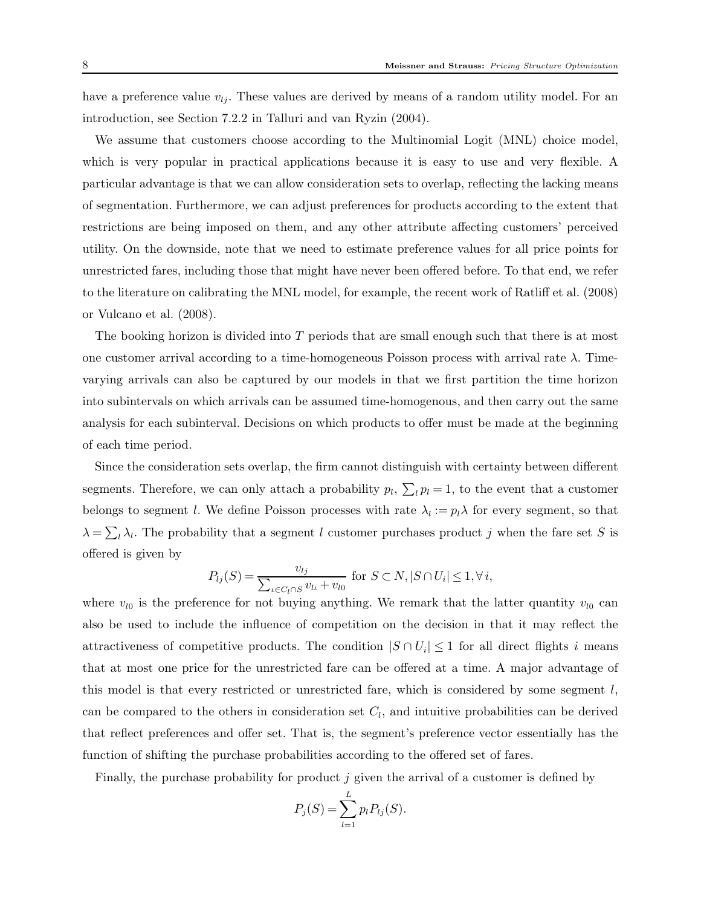have a preference value  $v_i$ . These values are derived by means of a random utility model. For an introduction, see Section 7.2.2 in Talluri and van Ryzin (2004).

We assume that customers choose according to the Multinomial Logit (MNL) choice model, which is very popular in practical applications because it is easy to use and very flexible. A particular advantage is that we can allow consideration sets to overlap, reflecting the lacking means of segmentation. Furthermore, we can adjust preferences for products according to the extent that restrictions are being imposed on them, and any other attribute affecting customers' perceived utility. On the downside, note that we need to estimate preference values for all price points for unrestricted fares, including those that might have never been offered before. To that end, we refer to the literature on calibrating the MNL model, for example, the recent work of Ratliff et al. (2008) or Vulcano et al. (2008).

The booking horizon is divided into  $T$  periods that are small enough such that there is at most one customer arrival according to a time-homogeneous Poisson process with arrival rate  $\lambda$ . Timevarying arrivals can also be captured by our models in that we first partition the time horizon into subintervals on which arrivals can be assumed time-homogenous, and then carry out the same analysis for each subinterval. Decisions on which products to offer must be made at the beginning of each time period.

Since the consideration sets overlap, the firm cannot distinguish with certainty between different segments. Therefore, we can only attach a probability  $p_l$ ,  $\sum_l p_l = 1$ , to the event that a customer belongs to segment l. We define Poisson processes with rate  $\lambda_l := p_l \lambda$  for every segment, so that  $\lambda = \sum_{l} \lambda_{l}$ . The probability that a segment l customer purchases product j when the fare set S is offered is given by

$$
P_{lj}(S) = \frac{v_{lj}}{\sum_{\iota \in C_l \cap S} v_{li} + v_{l0}} \text{ for } S \subset N, |S \cap U_i| \leq 1, \forall i,
$$

where  $v_{l0}$  is the preference for not buying anything. We remark that the latter quantity  $v_{l0}$  can also be used to include the influence of competition on the decision in that it may reflect the attractiveness of competitive products. The condition  $|S \cap U_i| \leq 1$  for all direct flights i means that at most one price for the unrestricted fare can be offered at a time. A major advantage of this model is that every restricted or unrestricted fare, which is considered by some segment  $l$ , can be compared to the others in consideration set  $C_l$ , and intuitive probabilities can be derived that reflect preferences and offer set. That is, the segment's preference vector essentially has the function of shifting the purchase probabilities according to the offered set of fares.

Finally, the purchase probability for product  $j$  given the arrival of a customer is defined by

$$
P_j(S) = \sum_{l=1}^L p_l P_{lj}(S).
$$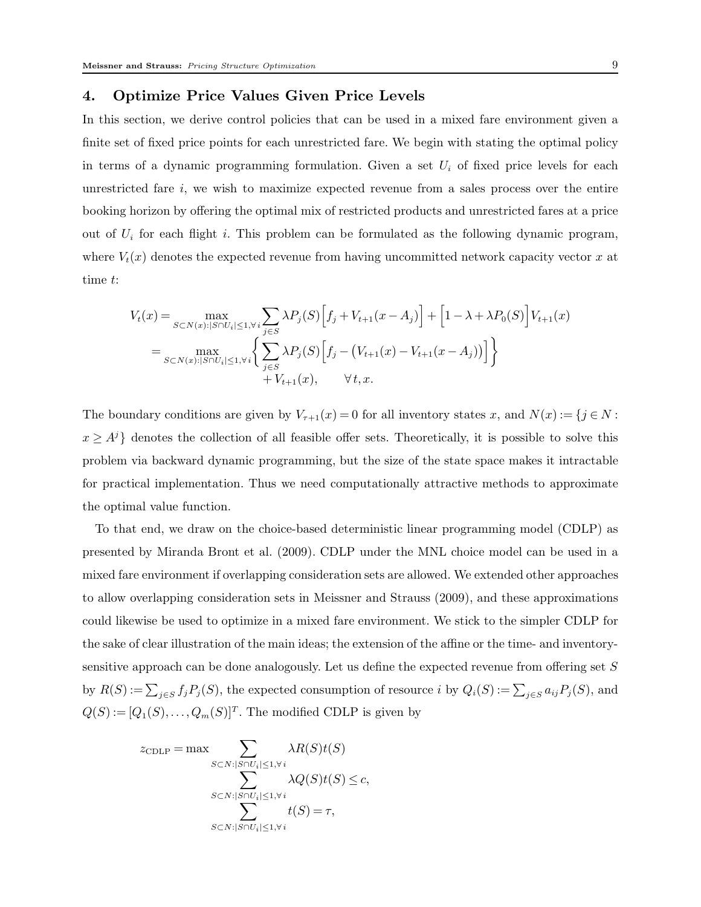#### 4. Optimize Price Values Given Price Levels

In this section, we derive control policies that can be used in a mixed fare environment given a finite set of fixed price points for each unrestricted fare. We begin with stating the optimal policy in terms of a dynamic programming formulation. Given a set  $U_i$  of fixed price levels for each unrestricted fare  $i$ , we wish to maximize expected revenue from a sales process over the entire booking horizon by offering the optimal mix of restricted products and unrestricted fares at a price out of  $U_i$  for each flight i. This problem can be formulated as the following dynamic program, where  $V_t(x)$  denotes the expected revenue from having uncommitted network capacity vector x at time t:

$$
V_t(x) = \max_{S \subset N(x): |S \cap U_i| \le 1, \forall i} \sum_{j \in S} \lambda P_j(S) \left[ f_j + V_{t+1}(x - A_j) \right] + \left[ 1 - \lambda + \lambda P_0(S) \right] V_{t+1}(x)
$$
  
= 
$$
\max_{S \subset N(x): |S \cap U_i| \le 1, \forall i} \left\{ \sum_{j \in S} \lambda P_j(S) \left[ f_j - (V_{t+1}(x) - V_{t+1}(x - A_j)) \right] \right\}
$$
  
+ 
$$
V_{t+1}(x), \quad \forall t, x.
$$

The boundary conditions are given by  $V_{\tau+1}(x) = 0$  for all inventory states x, and  $N(x) := \{j \in N :$  $x \geq A^{j}$  denotes the collection of all feasible offer sets. Theoretically, it is possible to solve this problem via backward dynamic programming, but the size of the state space makes it intractable for practical implementation. Thus we need computationally attractive methods to approximate the optimal value function.

To that end, we draw on the choice-based deterministic linear programming model (CDLP) as presented by Miranda Bront et al. (2009). CDLP under the MNL choice model can be used in a mixed fare environment if overlapping consideration sets are allowed. We extended other approaches to allow overlapping consideration sets in [Meissner](http://www.meiss.com/) and Strauss (2009), and these approximations could likewise be used to optimize in a mixed fare environment. We stick to the simpler CDLP for the sake of clear illustration of the main ideas; the extension of the affine or the time- and inventorysensitive approach can be done analogously. Let us define the expected revenue from offering set S by  $R(S) := \sum_{j \in S} f_j P_j(S)$ , the expected consumption of resource i by  $Q_i(S) := \sum_{j \in S} a_{ij} P_j(S)$ , and  $Q(S) := [Q_1(S), \ldots, Q_m(S)]^T$ . The modified CDLP is given by

$$
z_{\text{CDLP}} = \max \sum_{S \subset N: |S \cap U_i| \le 1, \forall i} \lambda R(S)t(S)
$$

$$
\sum_{S \subset N: |S \cap U_i| \le 1, \forall i} \lambda Q(S)t(S) \le c,
$$

$$
\sum_{S \subset N: |S \cap U_i| \le 1, \forall i} t(S) = \tau,
$$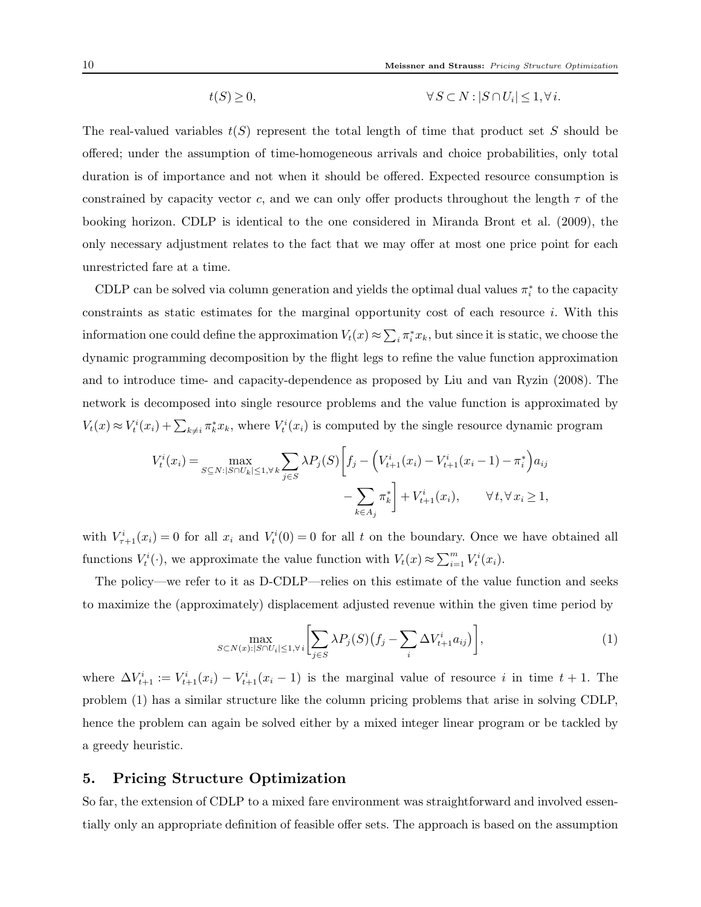$$
t(S) \ge 0, \qquad \forall S \subset N : |S \cap U_i| \le 1, \forall i.
$$

The real-valued variables  $t(S)$  represent the total length of time that product set S should be offered; under the assumption of time-homogeneous arrivals and choice probabilities, only total duration is of importance and not when it should be offered. Expected resource consumption is constrained by capacity vector c, and we can only offer products throughout the length  $\tau$  of the booking horizon. CDLP is identical to the one considered in Miranda Bront et al. (2009), the only necessary adjustment relates to the fact that we may offer at most one price point for each unrestricted fare at a time.

CDLP can be solved via column generation and yields the optimal dual values  $\pi_i^*$  to the capacity constraints as static estimates for the marginal opportunity cost of each resource  $i$ . With this information one could define the approximation  $V_t(x) \approx \sum_i \pi_i^* x_k$ , but since it is static, we choose the dynamic programming decomposition by the flight legs to refine the value function approximation and to introduce time- and capacity-dependence as proposed by Liu and van Ryzin (2008). The network is decomposed into single resource problems and the value function is approximated by  $V_t(x) \approx V_t^i(x_i) + \sum_{k \neq i} \pi_k^* x_k$ , where  $V_t^i(x_i)$  is computed by the single resource dynamic program

$$
V_t^i(x_i) = \max_{S \subseteq N: |S \cap U_k| \le 1, \forall k} \sum_{j \in S} \lambda P_j(S) \left[ f_j - \left( V_{t+1}^i(x_i) - V_{t+1}^i(x_i - 1) - \pi_i^* \right) a_{ij} \right. \\ \left. - \sum_{k \in A_j} \pi_k^* \right] + V_{t+1}^i(x_i), \qquad \forall t, \forall x_i \ge 1,
$$

with  $V_{\tau+1}^i(x_i) = 0$  for all  $x_i$  and  $V_t^i(0) = 0$  for all t on the boundary. Once we have obtained all functions  $V_t^i(\cdot)$ , we approximate the value function with  $V_t(x) \approx \sum_{i=1}^m V_t^i(x_i)$ .

The policy—we refer to it as D-CDLP—relies on this estimate of the value function and seeks to maximize the (approximately) displacement adjusted revenue within the given time period by

$$
\max_{S \subset N(x): |S \cap U_i| \le 1, \forall i} \left[ \sum_{j \in S} \lambda P_j(S) \left( f_j - \sum_i \Delta V_{t+1}^i a_{ij} \right) \right],\tag{1}
$$

where  $\Delta V_{t+1}^i := V_{t+1}^i(x_i) - V_{t+1}^i(x_i - 1)$  is the marginal value of resource i in time  $t + 1$ . The problem (1) has a similar structure like the column pricing problems that arise in solving CDLP, hence the problem can again be solved either by a mixed integer linear program or be tackled by a greedy heuristic.

### 5. Pricing Structure Optimization

So far, the extension of CDLP to a mixed fare environment was straightforward and involved essentially only an appropriate definition of feasible offer sets. The approach is based on the assumption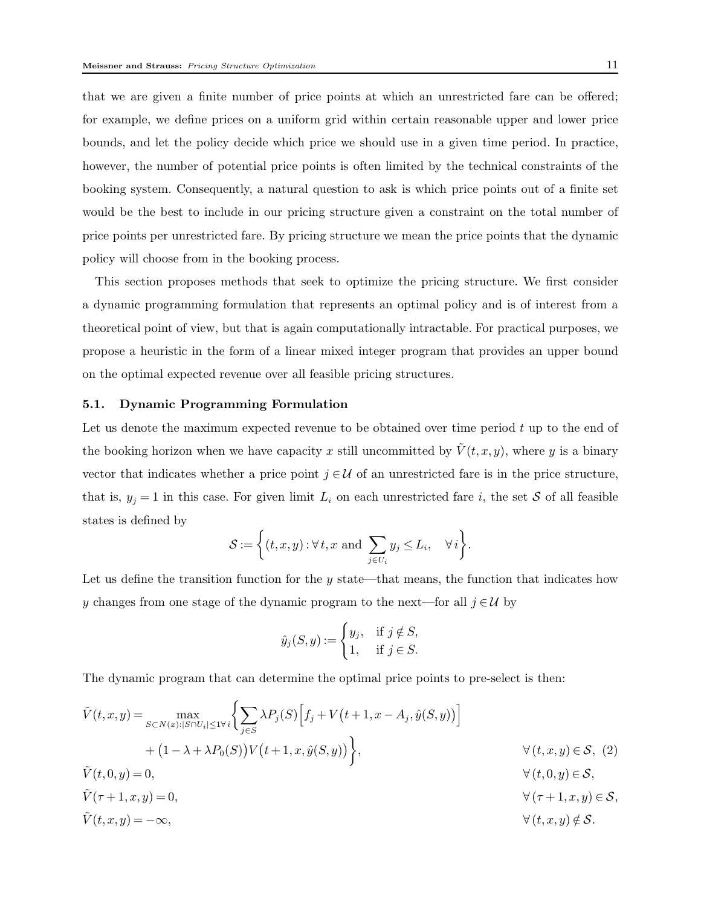that we are given a finite number of price points at which an unrestricted fare can be offered; for example, we define prices on a uniform grid within certain reasonable upper and lower price bounds, and let the policy decide which price we should use in a given time period. In practice, however, the number of potential price points is often limited by the technical constraints of the booking system. Consequently, a natural question to ask is which price points out of a finite set would be the best to include in our pricing structure given a constraint on the total number of price points per unrestricted fare. By pricing structure we mean the price points that the dynamic policy will choose from in the booking process.

This section proposes methods that seek to optimize the pricing structure. We first consider a dynamic programming formulation that represents an optimal policy and is of interest from a theoretical point of view, but that is again computationally intractable. For practical purposes, we propose a heuristic in the form of a linear mixed integer program that provides an upper bound on the optimal expected revenue over all feasible pricing structures.

#### 5.1. Dynamic Programming Formulation

Let us denote the maximum expected revenue to be obtained over time period  $t$  up to the end of the booking horizon when we have capacity x still uncommitted by  $\tilde{V}(t, x, y)$ , where y is a binary vector that indicates whether a price point  $j \in \mathcal{U}$  of an unrestricted fare is in the price structure, that is,  $y_j = 1$  in this case. For given limit  $L_i$  on each unrestricted fare i, the set S of all feasible states is defined by

$$
\mathcal{S} := \bigg\{ (t, x, y) : \forall t, x \text{ and } \sum_{j \in U_i} y_j \le L_i, \quad \forall i \bigg\}.
$$

Let us define the transition function for the  $y$  state—that means, the function that indicates how y changes from one stage of the dynamic program to the next—for all  $j \in U$  by

$$
\hat{y}_j(S, y) := \begin{cases} y_j, & \text{if } j \notin S, \\ 1, & \text{if } j \in S. \end{cases}
$$

The dynamic program that can determine the optimal price points to pre-select is then:

$$
\tilde{V}(t,x,y) = \max_{S \subset N(x): |S \cap U_i| \le 1 \forall i} \left\{ \sum_{j \in S} \lambda P_j(S) \left[ f_j + V(t+1,x-A_j, \hat{y}(S,y)) \right] + (1-\lambda + \lambda P_0(S)) V(t+1,x, \hat{y}(S,y)) \right\}, \qquad \forall (t,x,y) \in S, (2)
$$
\n
$$
\tilde{V}(t,0,y) = 0, \qquad \forall (t,0,y) \in S, \qquad \forall (\tau+1,x,y) = 0, \qquad \forall (\tau+1,x,y) \in S, \qquad \forall (\tau+1,x,y) \in S, \qquad \forall (t,x,y) \notin S.
$$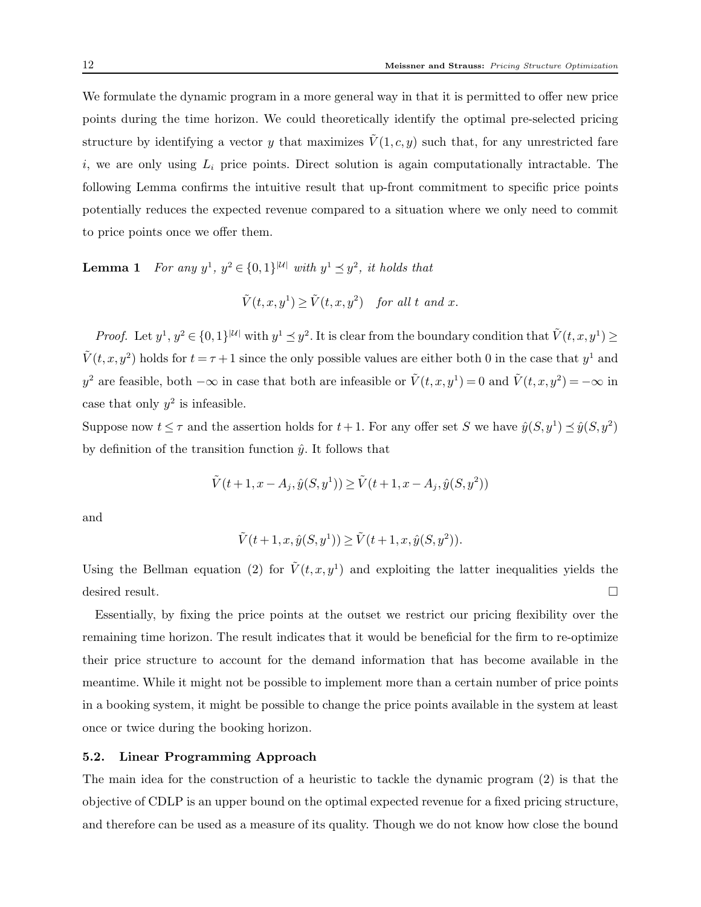We formulate the dynamic program in a more general way in that it is permitted to offer new price points during the time horizon. We could theoretically identify the optimal pre-selected pricing structure by identifying a vector y that maximizes  $\tilde{V}(1, c, y)$  such that, for any unrestricted fare i, we are only using  $L_i$  price points. Direct solution is again computationally intractable. The following Lemma confirms the intuitive result that up-front commitment to specific price points potentially reduces the expected revenue compared to a situation where we only need to commit to price points once we offer them.

**Lemma 1** For any  $y^1$ ,  $y^2 \in \{0,1\}^{|U|}$  with  $y^1 \preceq y^2$ , it holds that

$$
\tilde{V}(t, x, y^1) \ge \tilde{V}(t, x, y^2) \quad \text{for all } t \text{ and } x.
$$

*Proof.* Let  $y^1, y^2 \in \{0,1\}^{|U|}$  with  $y^1 \preceq y^2$ . It is clear from the boundary condition that  $\tilde{V}(t, x, y^1) \ge$  $\tilde{V}(t, x, y^2)$  holds for  $t = \tau + 1$  since the only possible values are either both 0 in the case that  $y^1$  and y<sup>2</sup> are feasible, both  $-\infty$  in case that both are infeasible or  $\tilde{V}(t,x,y^1) = 0$  and  $\tilde{V}(t,x,y^2) = -\infty$  in case that only  $y^2$  is infeasible.

Suppose now  $t \leq \tau$  and the assertion holds for  $t + 1$ . For any offer set S we have  $\hat{y}(S, y^1) \preceq \hat{y}(S, y^2)$ by definition of the transition function  $\hat{y}$ . It follows that

$$
\tilde{V}(t+1,x-A_j,\hat{y}(S,y^1))\geq \tilde{V}(t+1,x-A_j,\hat{y}(S,y^2))
$$

and

$$
\tilde{V}(t+1, x, \hat{y}(S, y^1)) \ge \tilde{V}(t+1, x, \hat{y}(S, y^2)).
$$

Using the Bellman equation (2) for  $\tilde{V}(t, x, y^1)$  and exploiting the latter inequalities yields the desired result.  $\Box$ 

Essentially, by fixing the price points at the outset we restrict our pricing flexibility over the remaining time horizon. The result indicates that it would be beneficial for the firm to re-optimize their price structure to account for the demand information that has become available in the meantime. While it might not be possible to implement more than a certain number of price points in a booking system, it might be possible to change the price points available in the system at least once or twice during the booking horizon.

#### 5.2. Linear Programming Approach

The main idea for the construction of a heuristic to tackle the dynamic program (2) is that the objective of CDLP is an upper bound on the optimal expected revenue for a fixed pricing structure, and therefore can be used as a measure of its quality. Though we do not know how close the bound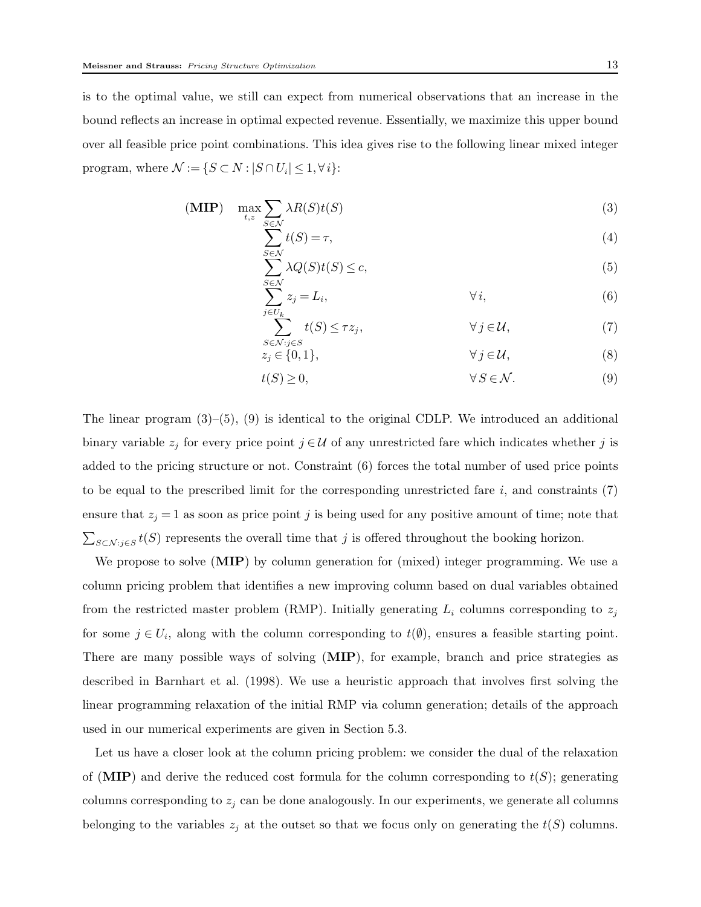is to the optimal value, we still can expect from numerical observations that an increase in the bound reflects an increase in optimal expected revenue. Essentially, we maximize this upper bound over all feasible price point combinations. This idea gives rise to the following linear mixed integer program, where  $\mathcal{N} := \{ S \subset N : |S \cap U_i| \leq 1, \forall i \}.$ 

$$
\textbf{(MIP)} \quad \max_{t,z} \sum_{S \in \mathcal{N}} \lambda R(S)t(S) \tag{3}
$$

$$
\sum_{S \subset \mathcal{N}} t(S) = \tau,\tag{4}
$$

$$
\sum_{S \in \mathcal{N}}^{S \in \mathcal{N}} \lambda Q(S)t(S) \le c,\tag{5}
$$

$$
\sum_{j \in U_k} z_j = L_i, \qquad \forall i,
$$
\n(6)

$$
\sum_{S \in \mathcal{N}: j \in S} t(S) \le \tau z_j, \qquad \forall j \in \mathcal{U}, \qquad (7)
$$

$$
z_j \in \{0, 1\}, \qquad \forall j \in \mathcal{U}, \qquad (8)
$$

$$
t(S) \ge 0, \qquad \forall S \in \mathcal{N}.
$$
 (9)

The linear program  $(3)$ – $(5)$ ,  $(9)$  is identical to the original CDLP. We introduced an additional binary variable  $z_j$  for every price point  $j \in \mathcal{U}$  of any unrestricted fare which indicates whether j is added to the pricing structure or not. Constraint (6) forces the total number of used price points to be equal to the prescribed limit for the corresponding unrestricted fare  $i$ , and constraints  $(7)$ ensure that  $z_j = 1$  as soon as price point j is being used for any positive amount of time; note that  $\sum_{S \subset \mathcal{N}: j \in S} t(S)$  represents the overall time that j is offered throughout the booking horizon.

We propose to solve (**MIP**) by column generation for (mixed) integer programming. We use a column pricing problem that identifies a new improving column based on dual variables obtained from the restricted master problem (RMP). Initially generating  $L_i$  columns corresponding to  $z_j$ for some  $j \in U_i$ , along with the column corresponding to  $t(\emptyset)$ , ensures a feasible starting point. There are many possible ways of solving (MIP), for example, branch and price strategies as described in Barnhart et al. (1998). We use a heuristic approach that involves first solving the linear programming relaxation of the initial RMP via column generation; details of the approach used in our numerical experiments are given in Section 5.3.

Let us have a closer look at the column pricing problem: we consider the dual of the relaxation of  $(MIP)$  and derive the reduced cost formula for the column corresponding to  $t(S)$ ; generating columns corresponding to  $z_i$  can be done analogously. In our experiments, we generate all columns belonging to the variables  $z_j$  at the outset so that we focus only on generating the  $t(S)$  columns.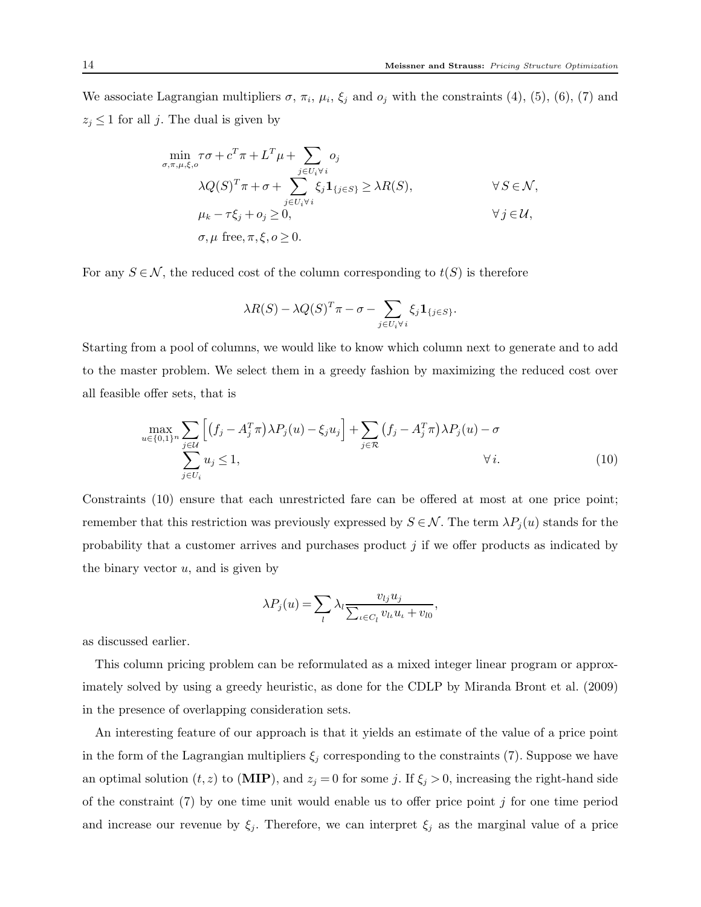We associate Lagrangian multipliers  $\sigma$ ,  $\pi_i$ ,  $\mu_i$ ,  $\xi_j$  and  $o_j$  with the constraints (4), (5), (6), (7) and  $z_j \leq 1$  for all j. The dual is given by

$$
\min_{\sigma,\pi,\mu,\xi,o} \tau \sigma + c^T \pi + L^T \mu + \sum_{j \in U_i \forall i} o_j
$$
\n
$$
\lambda Q(S)^T \pi + \sigma + \sum_{j \in U_i \forall i} \xi_j \mathbf{1}_{\{j \in S\}} \ge \lambda R(S),
$$
\n
$$
\mu_k - \tau \xi_j + o_j \ge 0,
$$
\n
$$
\sigma, \mu \text{ free}, \pi, \xi, o \ge 0.
$$
\nwhere  $\pi \in \mathbb{R}, \xi, o \ge 0$ .

For any  $S \in \mathcal{N}$ , the reduced cost of the column corresponding to  $t(S)$  is therefore

$$
\lambda R(S) - \lambda Q(S)^{T} \pi - \sigma - \sum_{j \in U_i \forall i} \xi_j \mathbf{1}_{\{j \in S\}}.
$$

Starting from a pool of columns, we would like to know which column next to generate and to add to the master problem. We select them in a greedy fashion by maximizing the reduced cost over all feasible offer sets, that is

$$
\max_{u \in \{0,1\}^n} \sum_{j \in \mathcal{U}} \left[ \left( f_j - A_j^T \pi \right) \lambda P_j(u) - \xi_j u_j \right] + \sum_{j \in \mathcal{R}} \left( f_j - A_j^T \pi \right) \lambda P_j(u) - \sigma
$$
\n
$$
\sum_{j \in U_i} u_j \le 1, \qquad \forall i. \tag{10}
$$

Constraints (10) ensure that each unrestricted fare can be offered at most at one price point; remember that this restriction was previously expressed by  $S \in \mathcal{N}$ . The term  $\lambda P_j(u)$  stands for the probability that a customer arrives and purchases product j if we offer products as indicated by the binary vector  $u$ , and is given by

$$
\lambda P_j(u) = \sum_l \lambda_l \frac{v_{lj} u_j}{\sum_{\iota \in C_l} v_{l\iota} u_{\iota} + v_{l0}},
$$

as discussed earlier.

This column pricing problem can be reformulated as a mixed integer linear program or approximately solved by using a greedy heuristic, as done for the CDLP by Miranda Bront et al. (2009) in the presence of overlapping consideration sets.

An interesting feature of our approach is that it yields an estimate of the value of a price point in the form of the Lagrangian multipliers  $\xi_j$  corresponding to the constraints (7). Suppose we have an optimal solution  $(t, z)$  to (MIP), and  $z_j = 0$  for some j. If  $\xi_j > 0$ , increasing the right-hand side of the constraint  $(7)$  by one time unit would enable us to offer price point j for one time period and increase our revenue by  $\xi_j$ . Therefore, we can interpret  $\xi_j$  as the marginal value of a price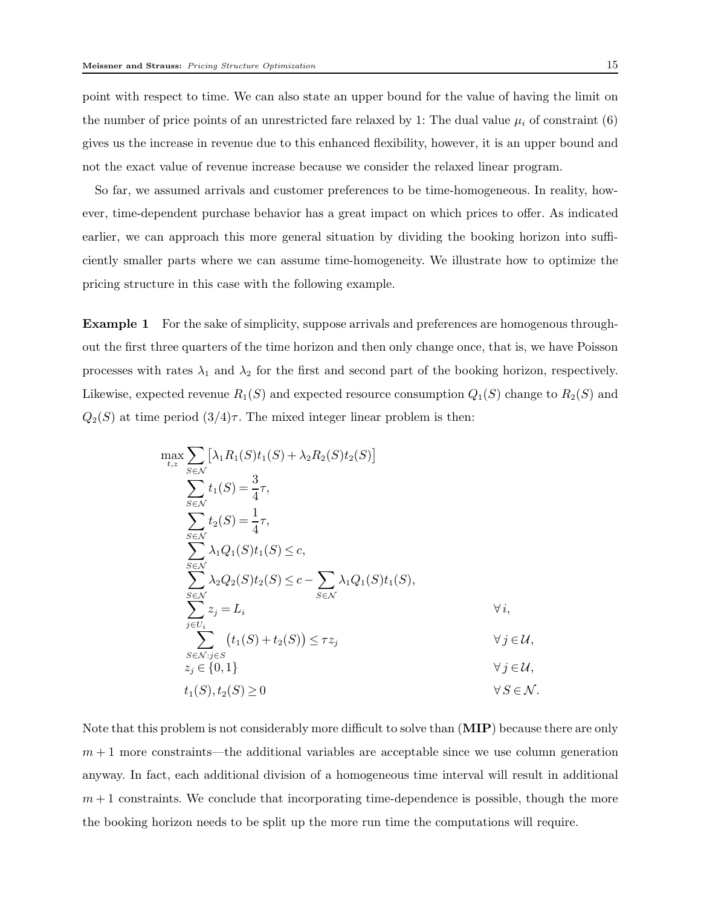point with respect to time. We can also state an upper bound for the value of having the limit on the number of price points of an unrestricted fare relaxed by 1: The dual value  $\mu_i$  of constraint (6) gives us the increase in revenue due to this enhanced flexibility, however, it is an upper bound and not the exact value of revenue increase because we consider the relaxed linear program.

So far, we assumed arrivals and customer preferences to be time-homogeneous. In reality, however, time-dependent purchase behavior has a great impact on which prices to offer. As indicated earlier, we can approach this more general situation by dividing the booking horizon into sufficiently smaller parts where we can assume time-homogeneity. We illustrate how to optimize the pricing structure in this case with the following example.

**Example 1** For the sake of simplicity, suppose arrivals and preferences are homogenous throughout the first three quarters of the time horizon and then only change once, that is, we have Poisson processes with rates  $\lambda_1$  and  $\lambda_2$  for the first and second part of the booking horizon, respectively. Likewise, expected revenue  $R_1(S)$  and expected resource consumption  $Q_1(S)$  change to  $R_2(S)$  and  $Q_2(S)$  at time period  $(3/4)\tau$ . The mixed integer linear problem is then:

$$
\max_{t,z} \sum_{S \in \mathcal{N}} \left[ \lambda_1 R_1(S) t_1(S) + \lambda_2 R_2(S) t_2(S) \right]
$$
\n
$$
\sum_{S \in \mathcal{N}} t_1(S) = \frac{3}{4}\tau,
$$
\n
$$
\sum_{S \in \mathcal{N}} t_2(S) = \frac{1}{4}\tau,
$$
\n
$$
\sum_{S \in \mathcal{N}} \lambda_1 Q_1(S) t_1(S) \le c,
$$
\n
$$
\sum_{S \in \mathcal{N}} \lambda_2 Q_2(S) t_2(S) \le c - \sum_{S \in \mathcal{N}} \lambda_1 Q_1(S) t_1(S),
$$
\n
$$
\sum_{S \in \mathcal{N}} z_j = L_i
$$
\n
$$
\sum_{S \in \mathcal{N}: j \in S} (t_1(S) + t_2(S)) \le \tau z_j
$$
\n
$$
z_j \in \{0, 1\}
$$
\n
$$
t_1(S), t_2(S) \ge 0
$$
\n
$$
\forall S \in \mathcal{N}.
$$

Note that this problem is not considerably more difficult to solve than (MIP) because there are only  $m+1$  more constraints—the additional variables are acceptable since we use column generation anyway. In fact, each additional division of a homogeneous time interval will result in additional  $m+1$  constraints. We conclude that incorporating time-dependence is possible, though the more the booking horizon needs to be split up the more run time the computations will require.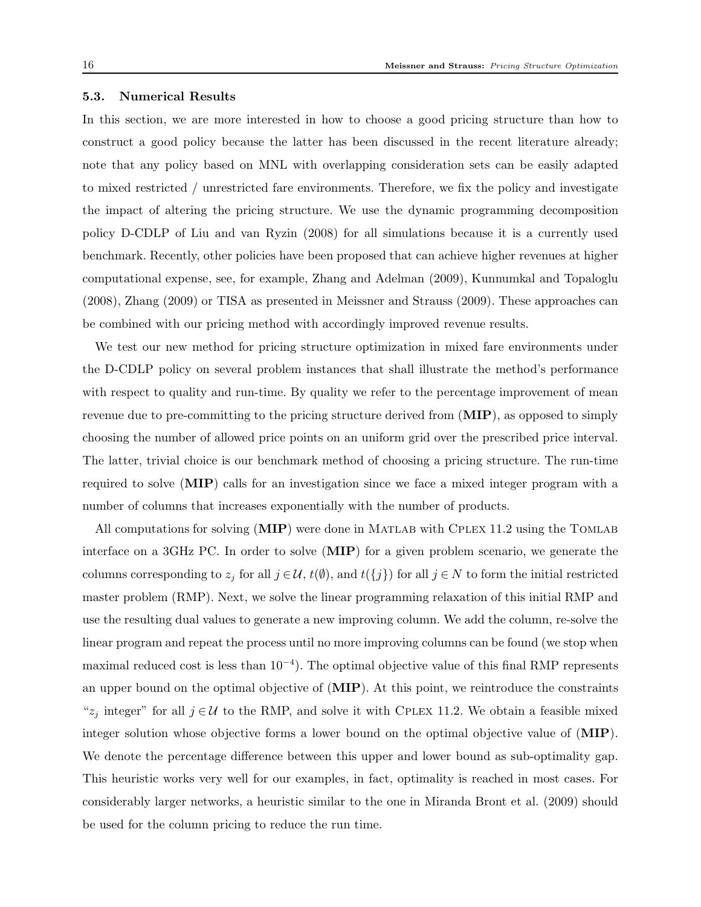#### 5.3. Numerical Results

In this section, we are more interested in how to choose a good pricing structure than how to construct a good policy because the latter has been discussed in the recent literature already; note that any policy based on MNL with overlapping consideration sets can be easily adapted to mixed restricted / unrestricted fare environments. Therefore, we fix the policy and investigate the impact of altering the pricing structure. We use the dynamic programming decomposition policy D-CDLP of Liu and van Ryzin (2008) for all simulations because it is a currently used benchmark. Recently, other policies have been proposed that can achieve higher revenues at higher computational expense, see, for example, Zhang and Adelman (2009), Kunnumkal and Topaloglu (2008), Zhang (2009) or TISA as presented in [Meissner](http://www.meiss.com/) and Strauss (2009). These approaches can be combined with our pricing method with accordingly improved revenue results.

We test our new method for pricing structure optimization in mixed fare environments under the D-CDLP policy on several problem instances that shall illustrate the method's performance with respect to quality and run-time. By quality we refer to the percentage improvement of mean revenue due to pre-committing to the pricing structure derived from (MIP), as opposed to simply choosing the number of allowed price points on an uniform grid over the prescribed price interval. The latter, trivial choice is our benchmark method of choosing a pricing structure. The run-time required to solve (MIP) calls for an investigation since we face a mixed integer program with a number of columns that increases exponentially with the number of products.

All computations for solving (MIP) were done in MATLAB with CPLEX 11.2 using the TOMLAB interface on a 3GHz PC. In order to solve (MIP) for a given problem scenario, we generate the columns corresponding to  $z_j$  for all  $j \in \mathcal{U}$ ,  $t(\emptyset)$ , and  $t(\{j\})$  for all  $j \in N$  to form the initial restricted master problem (RMP). Next, we solve the linear programming relaxation of this initial RMP and use the resulting dual values to generate a new improving column. We add the column, re-solve the linear program and repeat the process until no more improving columns can be found (we stop when maximal reduced cost is less than 10<sup>−</sup><sup>4</sup> ). The optimal objective value of this final RMP represents an upper bound on the optimal objective of (MIP). At this point, we reintroduce the constraints " $z_j$  integer" for all  $j \in \mathcal{U}$  to the RMP, and solve it with CPLEX 11.2. We obtain a feasible mixed integer solution whose objective forms a lower bound on the optimal objective value of (MIP). We denote the percentage difference between this upper and lower bound as sub-optimality gap. This heuristic works very well for our examples, in fact, optimality is reached in most cases. For considerably larger networks, a heuristic similar to the one in Miranda Bront et al. (2009) should be used for the column pricing to reduce the run time.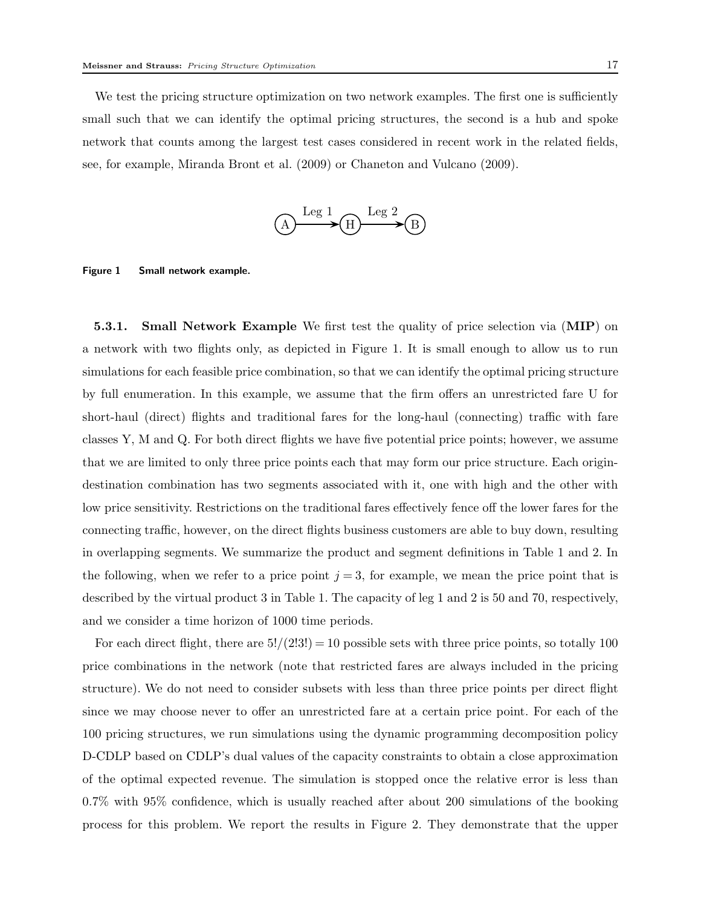We test the pricing structure optimization on two network examples. The first one is sufficiently small such that we can identify the optimal pricing structures, the second is a hub and spoke network that counts among the largest test cases considered in recent work in the related fields, see, for example, Miranda Bront et al. (2009) or Chaneton and Vulcano (2009).



Figure 1 Small network example.

**5.3.1.** Small Network Example We first test the quality of price selection via (MIP) on a network with two flights only, as depicted in Figure 1. It is small enough to allow us to run simulations for each feasible price combination, so that we can identify the optimal pricing structure by full enumeration. In this example, we assume that the firm offers an unrestricted fare U for short-haul (direct) flights and traditional fares for the long-haul (connecting) traffic with fare classes Y, M and Q. For both direct flights we have five potential price points; however, we assume that we are limited to only three price points each that may form our price structure. Each origindestination combination has two segments associated with it, one with high and the other with low price sensitivity. Restrictions on the traditional fares effectively fence off the lower fares for the connecting traffic, however, on the direct flights business customers are able to buy down, resulting in overlapping segments. We summarize the product and segment definitions in Table 1 and 2. In the following, when we refer to a price point  $j = 3$ , for example, we mean the price point that is described by the virtual product 3 in Table 1. The capacity of leg 1 and 2 is 50 and 70, respectively, and we consider a time horizon of 1000 time periods.

For each direct flight, there are  $5!/(2!3!) = 10$  possible sets with three price points, so totally 100 price combinations in the network (note that restricted fares are always included in the pricing structure). We do not need to consider subsets with less than three price points per direct flight since we may choose never to offer an unrestricted fare at a certain price point. For each of the 100 pricing structures, we run simulations using the dynamic programming decomposition policy D-CDLP based on CDLP's dual values of the capacity constraints to obtain a close approximation of the optimal expected revenue. The simulation is stopped once the relative error is less than 0.7% with 95% confidence, which is usually reached after about 200 simulations of the booking process for this problem. We report the results in Figure 2. They demonstrate that the upper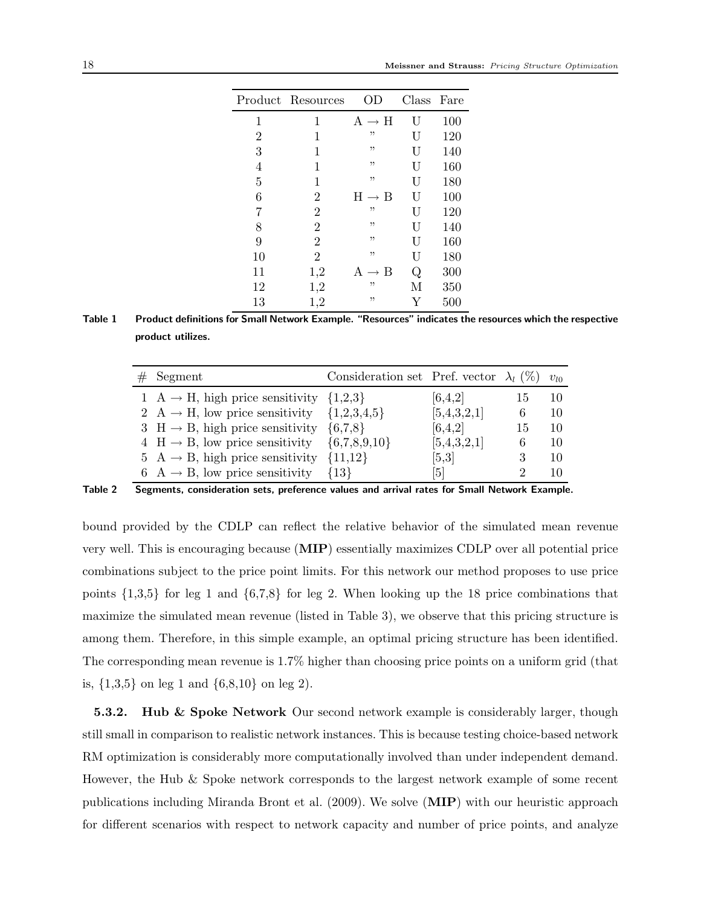|                | Product Resources | OD                   | Class | Fare |
|----------------|-------------------|----------------------|-------|------|
| 1              | 1                 | $A \rightarrow H$    | U     | 100  |
| $\overline{2}$ | 1                 | ,,                   | U     | 120  |
| 3              | 1                 | ,,                   | U     | 140  |
| 4              | 1                 | ,,                   | U     | 160  |
| 5              | 1                 | ,,                   | U     | 180  |
| 6              | 2                 | H<br>$\rightarrow$ B | U     | 100  |
| 7              | $\overline{2}$    | ,,                   | U     | 120  |
| 8              | $\overline{2}$    | ,,                   | U     | 140  |
| 9              | $\overline{2}$    | ,,                   | U     | 160  |
| 10             | $\overline{2}$    | ,,                   | U     | 180  |
| 11             | 1,2               | $\rightarrow$ B<br>А | Q     | 300  |
| 12             | $^{1,2}$          | ,,                   | М     | 350  |
| 13             | 1,2               | ,,                   | Y     | 500  |
|                |                   |                      |       |      |

Table 1 Product definitions for Small Network Example. "Resources" indicates the resources which the respective product utilizes.

| Segment                                                 | Consideration set Pref. vector $\lambda_l$ (%) $v_{l0}$ |             |    |    |
|---------------------------------------------------------|---------------------------------------------------------|-------------|----|----|
| 1 A $\rightarrow$ H, high price sensitivity $\{1,2,3\}$ |                                                         | [6, 4, 2]   |    | 10 |
| 2 A $\rightarrow$ H, low price sensitivity {1,2,3,4,5}  |                                                         | [5,4,3,2,1] | 6  | 10 |
| 3 H $\rightarrow$ B, high price sensitivity             | ${6,7,8}$                                               | [6,4,2]     | T. | 10 |
| 4 H $\rightarrow$ B, low price sensitivity              | $\{6,7,8,9,10\}$                                        | [5,4,3,2,1] |    | 10 |
| 5 A $\rightarrow$ B, high price sensitivity             | ${11,12}$                                               | [5,3]       |    | 10 |
| 6 A $\rightarrow$ B, low price sensitivity              | $\{13\}$                                                | 5           |    | 10 |

Table 2 Segments, consideration sets, preference values and arrival rates for Small Network Example.

bound provided by the CDLP can reflect the relative behavior of the simulated mean revenue very well. This is encouraging because (MIP) essentially maximizes CDLP over all potential price combinations subject to the price point limits. For this network our method proposes to use price points  $\{1,3,5\}$  for leg 1 and  $\{6,7,8\}$  for leg 2. When looking up the 18 price combinations that maximize the simulated mean revenue (listed in Table 3), we observe that this pricing structure is among them. Therefore, in this simple example, an optimal pricing structure has been identified. The corresponding mean revenue is 1.7% higher than choosing price points on a uniform grid (that is, {1,3,5} on leg 1 and {6,8,10} on leg 2).

5.3.2. Hub & Spoke Network Our second network example is considerably larger, though still small in comparison to realistic network instances. This is because testing choice-based network RM optimization is considerably more computationally involved than under independent demand. However, the Hub & Spoke network corresponds to the largest network example of some recent publications including Miranda Bront et al. (2009). We solve (MIP) with our heuristic approach for different scenarios with respect to network capacity and number of price points, and analyze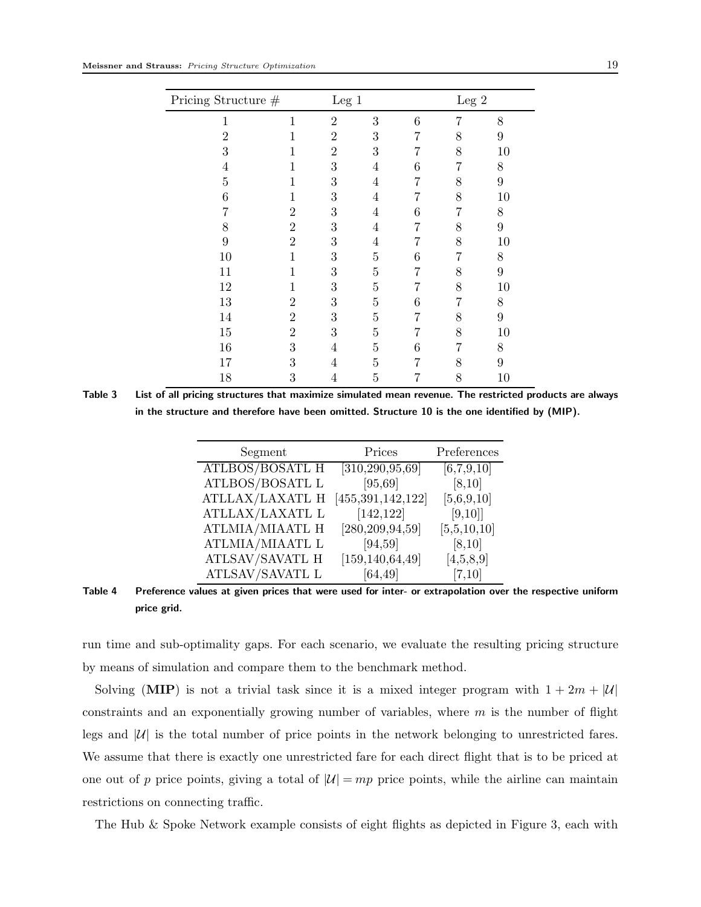| Pricing Structure $#$ |                | Leg <sub>1</sub> |                |   | Leg 2 |                  |
|-----------------------|----------------|------------------|----------------|---|-------|------------------|
| 1                     | 1              | $\overline{2}$   | 3              | 6 | 7     | 8                |
| $\overline{2}$        | 1              | $\overline{2}$   | 3              | 7 | 8     | 9                |
| 3                     | 1              | $\overline{2}$   | 3              | 7 | 8     | 10               |
| $\overline{4}$        | 1              | 3                | $\overline{4}$ | 6 | 7     | 8                |
| $\overline{5}$        | 1              | 3                | $\overline{4}$ | 7 | 8     | 9                |
| 6                     | 1              | 3                | $\overline{4}$ | 7 | 8     | 10               |
| 7                     | $\overline{2}$ | 3                | $\overline{4}$ | 6 | 7     | 8                |
| 8                     | $\overline{2}$ | 3                | $\overline{4}$ | 7 | 8     | $\boldsymbol{9}$ |
| 9                     | $\overline{2}$ | 3                | $\overline{4}$ | 7 | 8     | 10               |
| 10                    | 1              | 3                | $\overline{5}$ | 6 | 7     | 8                |
| 11                    | 1              | 3                | $\overline{5}$ | 7 | 8     | 9                |
| 12                    | 1              | 3                | $\overline{5}$ | 7 | 8     | 10               |
| 13                    | $\overline{2}$ | 3                | $\overline{5}$ | 6 | 7     | 8                |
| 14                    | $\overline{2}$ | 3                | $\overline{5}$ | 7 | 8     | 9                |
| 15                    | $\overline{2}$ | 3                | $\overline{5}$ | 7 | 8     | 10               |
| 16                    | 3              | 4                | $\overline{5}$ | 6 | 7     | 8                |
| 17                    | 3              | 4                | $\overline{5}$ | 7 | 8     | 9                |
| 18                    | 3              | $\overline{4}$   | $\overline{5}$ | 7 | 8     | 10               |
|                       |                |                  |                |   |       |                  |

Table 3 List of all pricing structures that maximize simulated mean revenue. The restricted products are always in the structure and therefore have been omitted. Structure 10 is the one identified by (MIP).

| Segment                | Prices               | Preferences |
|------------------------|----------------------|-------------|
| <b>ATLBOS/BOSATL H</b> | [310, 290, 95, 69]   | [6,7,9,10]  |
| ATLBOS/BOSATL L        | [95, 69]             | [8,10]      |
| ATLLAX/LAXATL H        | [455, 391, 142, 122] | [5,6,9,10]  |
| ATLLAX/LAXATL L        | [142, 122]           | [9,10]      |
| ATLMIA/MIAATL H        | [280, 209, 94, 59]   | [5,5,10,10] |
| ATLMIA/MIAATL L        | [94, 59]             | [8,10]      |
| ATLSAV/SAVATL H        | [159, 140, 64, 49]   | [4,5,8,9]   |
| ATLSAV/SAVATL L        | [64, 49]             | [7,10]      |

Table 4 Preference values at given prices that were used for inter- or extrapolation over the respective uniform price grid.

run time and sub-optimality gaps. For each scenario, we evaluate the resulting pricing structure by means of simulation and compare them to the benchmark method.

Solving (MIP) is not a trivial task since it is a mixed integer program with  $1 + 2m + |\mathcal{U}|$ constraints and an exponentially growing number of variables, where  $m$  is the number of flight legs and  $|\mathcal{U}|$  is the total number of price points in the network belonging to unrestricted fares. We assume that there is exactly one unrestricted fare for each direct flight that is to be priced at one out of p price points, giving a total of  $|U| = mp$  price points, while the airline can maintain restrictions on connecting traffic.

The Hub & Spoke Network example consists of eight flights as depicted in Figure 3, each with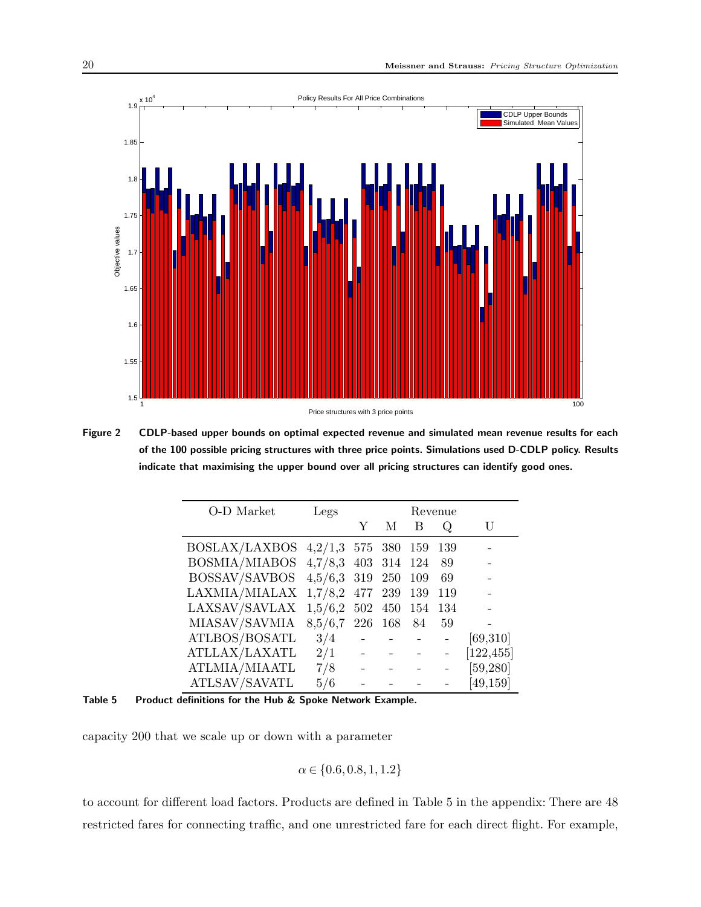

Figure 2 CDLP-based upper bounds on optimal expected revenue and simulated mean revenue results for each of the 100 possible pricing structures with three price points. Simulations used D-CDLP policy. Results indicate that maximising the upper bound over all pricing structures can identify good ones.

| O-D Market    | Legs              |     |         |                     |     |            |
|---------------|-------------------|-----|---------|---------------------|-----|------------|
|               |                   | Y   | M       | B                   | Q   | U          |
| BOSLAX/LAXBOS | $4,2/1,3$ 575 380 |     |         | 159                 | 139 |            |
| BOSMIA/MIABOS | 4,7/8,3           |     | 403 314 | 124                 | 89  |            |
| BOSSAV/SAVBOS | $4,5/6,3$ 319 250 |     |         | 109                 | 69  |            |
| LAXMIA/MIALAX | 1,7/8,2 477 239   |     |         | 139                 | 119 |            |
| LAXSAV/SAVLAX | 1,5/6,2           | 502 | 450     | 154                 | 134 |            |
| MIASAV/SAVMIA | 8,5/6,7           |     | 226 168 | 84                  | 59  |            |
| ATLBOS/BOSATL | 3/4               |     |         | $\omega_{\rm{max}}$ |     | [69, 310]  |
| ATLLAX/LAXATL | 2/1               |     |         | $\sim 10^{-10}$     |     | [122, 455] |
| ATLMIA/MIAATL | 7/8               |     |         |                     |     | [59, 280]  |
| ATLSAV/SAVATL | 5/6               |     |         |                     |     | [49, 159]  |

Table 5 Product definitions for the Hub & Spoke Network Example.

capacity 200 that we scale up or down with a parameter

$$
\alpha \in \{0.6, 0.8, 1, 1.2\}
$$

to account for different load factors. Products are defined in Table 5 in the appendix: There are 48 restricted fares for connecting traffic, and one unrestricted fare for each direct flight. For example,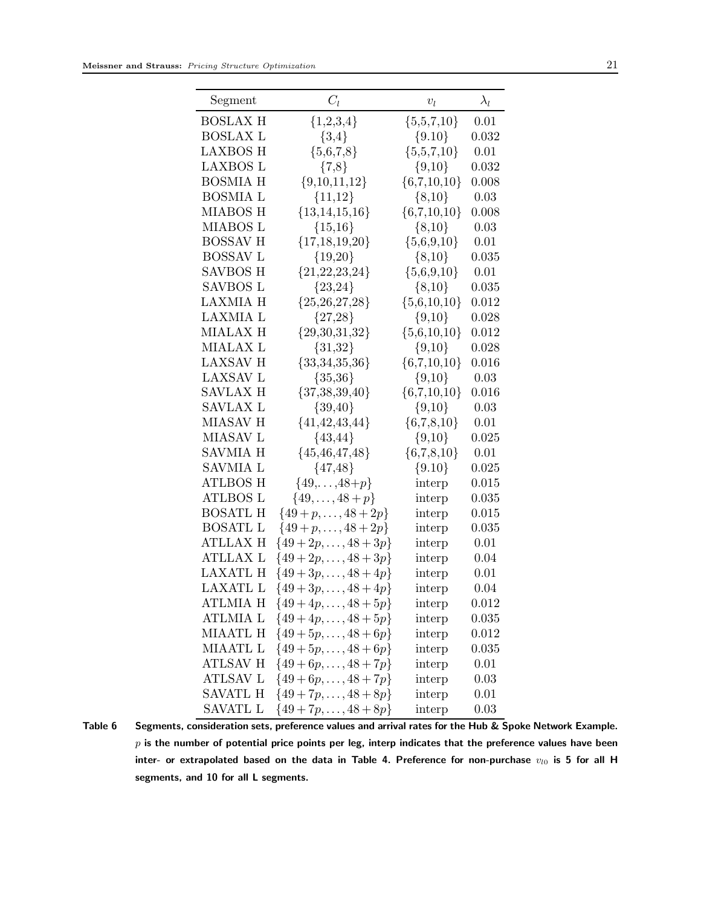| Segment             | $C_{l}$                  | $v_l$           | $\lambda_l$ |
|---------------------|--------------------------|-----------------|-------------|
| <b>BOSLAX H</b>     | ${1,2,3,4}$              | $\{5,5,7,10\}$  | 0.01        |
| BOSLAX <sub>L</sub> | $\{3,4\}$                | ${9.10}$        | 0.032       |
| <b>LAXBOS H</b>     | ${5,6,7,8}$              | ${5,5,7,10}$    | 0.01        |
| <b>LAXBOS L</b>     | $\{7,8\}$                | $\{9,10\}$      | 0.032       |
| <b>BOSMIA H</b>     | $\{9,10,11,12\}$         | $\{6,7,10,10\}$ | 0.008       |
| BOSMIA L            | ${11,12}$                | $\{8,10\}$      | 0.03        |
| MIABOS H            | ${13,14,15,16}$          | ${6,7,10,10}$   | 0.008       |
| MIABOS L            | ${15,16}$                | $\{8,10\}$      | 0.03        |
| <b>BOSSAV H</b>     | ${17,18,19,20}$          | $\{5,6,9,10\}$  | 0.01        |
| <b>BOSSAV L</b>     | ${19,20}$                | $\{8,10\}$      | 0.035       |
| <b>SAVBOS H</b>     | ${21,22,23,24}$          | $\{5,6,9,10\}$  | 0.01        |
| SAVBOS L            | ${23,24}$                | $\{8,10\}$      | 0.035       |
| LAXMIA H            | ${25,26,27,28}$          | $\{5,6,10,10\}$ | 0.012       |
| LAXMIA L            | ${27,28}$                | $\{9,10\}$      | 0.028       |
| MIALAX H            | ${29,30,31,32}$          | $\{5,6,10,10\}$ | 0.012       |
| MIALAX <sub>L</sub> | ${31,32}$                | ${9,10}$        | 0.028       |
| <b>LAXSAV H</b>     | ${33,34,35,36}$          | $\{6,7,10,10\}$ | 0.016       |
| <b>LAXSAV L</b>     | ${35,36}$                | ${9,10}$        | 0.03        |
| <b>SAVLAX H</b>     | ${37,38,39,40}$          | ${6,7,10,10}$   | 0.016       |
| SAVLAX <sub>L</sub> | ${39,40}$                | ${9,10}$        | 0.03        |
| MIASAV H            | ${41,42,43,44}$          | $\{6,7,8,10\}$  | 0.01        |
| MIASAV L            | ${43,44}$                | $\{9,10\}$      | 0.025       |
| SAVMIA H            | ${45,46,47,48}$          | $\{6,7,8,10\}$  | 0.01        |
| SAVMIA L            | ${47,48}$                | ${9.10}$        | 0.025       |
| <b>ATLBOS H</b>     | $\{49,\ldots,48+p\}$     | interp          | 0.015       |
| <b>ATLBOS L</b>     | $\{49,\ldots,48+p\}$     | interp          | 0.035       |
| <b>BOSATL H</b>     | $\{49+p,\ldots,48+2p\}$  | interp          | 0.015       |
| BOSATL L            | $\{49+p,\ldots,48+2p\}$  | interp          | 0.035       |
| <b>ATLLAX H</b>     | $\{49+2p,\ldots,48+3p\}$ | interp          | 0.01        |
| <b>ATLLAX L</b>     | $\{49+2p,\ldots,48+3p\}$ | interp          | 0.04        |
| <b>LAXATL H</b>     | $\{49+3p,\ldots,48+4p\}$ | interp          | 0.01        |
| LAXATL L            | $\{49+3p,\ldots,48+4p\}$ | interp          | 0.04        |
| ATLMIA H            | $\{49+4p,\ldots,48+5p\}$ | interp          | 0.012       |
| <b>ATLMIA L</b>     | $\{49+4p,\ldots,48+5p\}$ | interp          | 0.035       |
| MIAATL H            | $\{49+5p,\ldots,48+6p\}$ | interp          | 0.012       |
| MIAATL L            | $\{49+5p,\ldots,48+6p\}$ | interp          | 0.035       |
| ATLSAV H            | $\{49+6p,\ldots,48+7p\}$ | interp          | 0.01        |
| ATLSAV L            | $\{49+6p,\ldots,48+7p\}$ | interp          | 0.03        |
| SAVATL H            | $\{49+7p,\ldots,48+8p\}$ | interp          | 0.01        |
| SAVATL L            | $\{49+7p,\ldots,48+8p\}$ | interp          | 0.03        |

Table 6 Segments, consideration sets, preference values and arrival rates for the Hub & Spoke Network Example.  $p$  is the number of potential price points per leg, interp indicates that the preference values have been inter- or extrapolated based on the data in Table 4. Preference for non-purchase  $v_{l0}$  is 5 for all H segments, and 10 for all L segments.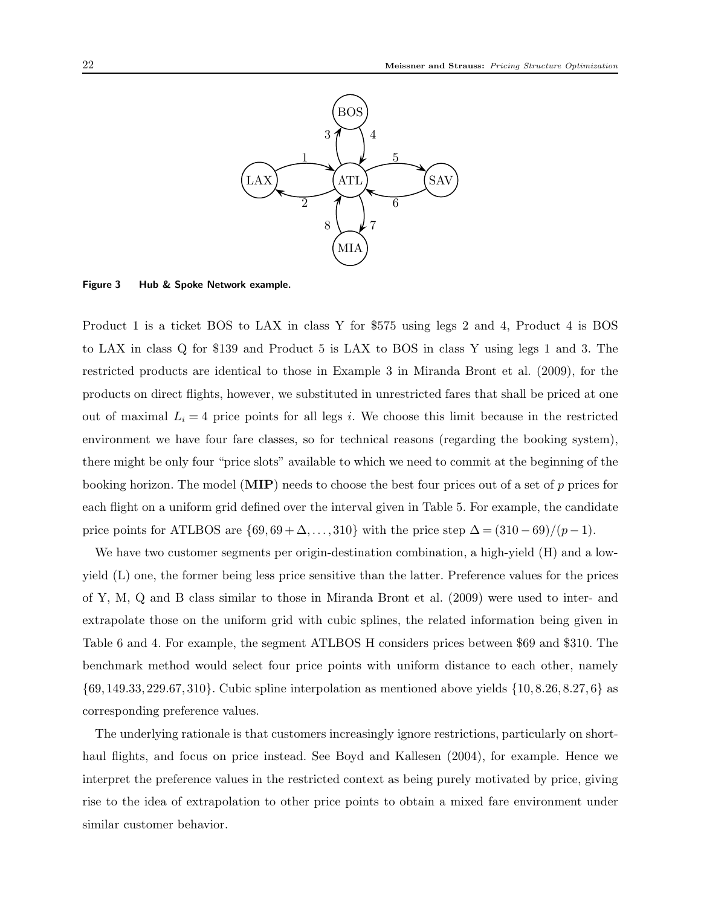

Figure 3 Hub & Spoke Network example.

Product 1 is a ticket BOS to LAX in class Y for \$575 using legs 2 and 4, Product 4 is BOS to LAX in class Q for \$139 and Product 5 is LAX to BOS in class Y using legs 1 and 3. The restricted products are identical to those in Example 3 in Miranda Bront et al. (2009), for the products on direct flights, however, we substituted in unrestricted fares that shall be priced at one out of maximal  $L<sub>i</sub> = 4$  price points for all legs *i*. We choose this limit because in the restricted environment we have four fare classes, so for technical reasons (regarding the booking system), there might be only four "price slots" available to which we need to commit at the beginning of the booking horizon. The model  $(MIP)$  needs to choose the best four prices out of a set of p prices for each flight on a uniform grid defined over the interval given in Table 5. For example, the candidate price points for ATLBOS are  $\{69, 69 + \Delta, ..., 310\}$  with the price step  $\Delta = (310 - 69)/(p - 1)$ .

We have two customer segments per origin-destination combination, a high-yield (H) and a lowyield (L) one, the former being less price sensitive than the latter. Preference values for the prices of Y, M, Q and B class similar to those in Miranda Bront et al. (2009) were used to inter- and extrapolate those on the uniform grid with cubic splines, the related information being given in Table 6 and 4. For example, the segment ATLBOS H considers prices between \$69 and \$310. The benchmark method would select four price points with uniform distance to each other, namely  $\{69, 149.33, 229.67, 310\}$ . Cubic spline interpolation as mentioned above yields  $\{10, 8.26, 8.27, 6\}$  as corresponding preference values.

The underlying rationale is that customers increasingly ignore restrictions, particularly on shorthaul flights, and focus on price instead. See Boyd and Kallesen (2004), for example. Hence we interpret the preference values in the restricted context as being purely motivated by price, giving rise to the idea of extrapolation to other price points to obtain a mixed fare environment under similar customer behavior.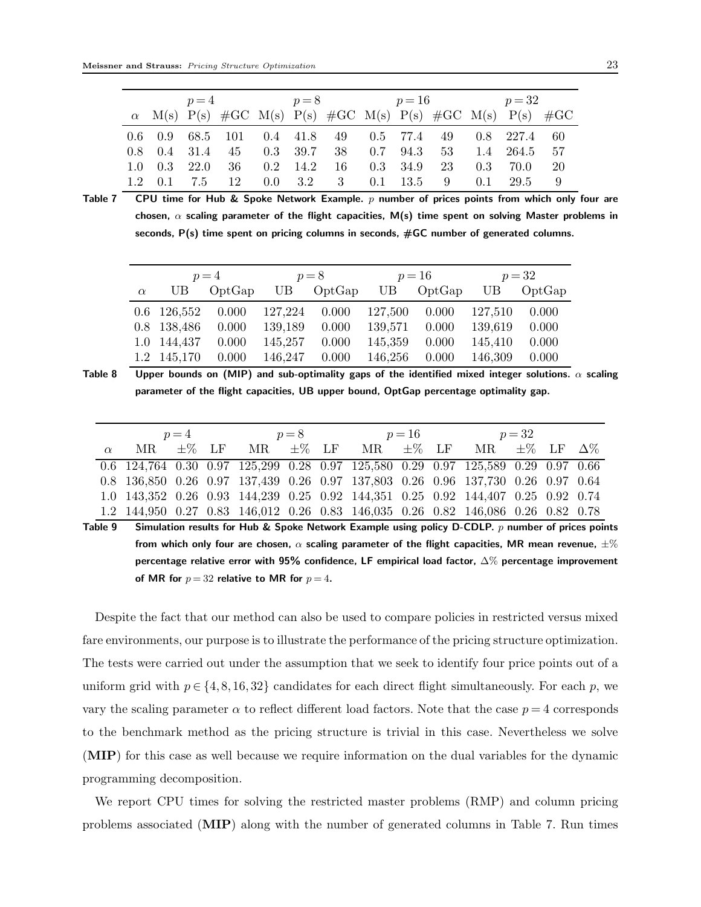|  | $p=4$ $p=8$ $p=16$ $p=32$ |  |                                                                                 |  |  |  |  |  |  |  |  |  |
|--|---------------------------|--|---------------------------------------------------------------------------------|--|--|--|--|--|--|--|--|--|
|  |                           |  | $\alpha$ M(s) P(s) #GC M(s) P(s) #GC M(s) P(s) #GC M(s) P(s) #GC                |  |  |  |  |  |  |  |  |  |
|  |                           |  | $0.6$ $0.9$ $68.5$ $101$ $0.4$ $41.8$ $49$ $0.5$ $77.4$ $49$ $0.8$ $227.4$ $60$ |  |  |  |  |  |  |  |  |  |
|  |                           |  | 0.8 0.4 31.4 45 0.3 39.7 38 0.7 94.3 53 1.4 264.5 57                            |  |  |  |  |  |  |  |  |  |
|  |                           |  | 1.0 0.3 22.0 36 0.2 14.2 16 0.3 34.9 23 0.3 70.0 20                             |  |  |  |  |  |  |  |  |  |
|  |                           |  | 1.2 0.1 7.5 12 0.0 3.2 3 0.1 13.5 9 0.1 29.5 9                                  |  |  |  |  |  |  |  |  |  |

Table 7 CPU time for Hub & Spoke Network Example. p number of prices points from which only four are chosen,  $\alpha$  scaling parameter of the flight capacities, M(s) time spent on solving Master problems in seconds,  $P(s)$  time spent on pricing columns in seconds,  $#GC$  number of generated columns.

|          |             | $p=4$     |               | $p=8$         |               |               | $p = 16$ $p = 32$ |        |  |
|----------|-------------|-----------|---------------|---------------|---------------|---------------|-------------------|--------|--|
| $\alpha$ | UB.         | OptGap    |               | $UB$ $OptGap$ |               | $UB$ $OptGap$ | UB.               | OptGap |  |
|          | 0.6 126,552 | $0.000\,$ | 127,224 0.000 |               | 127,500 0.000 |               | 127,510           | 0.000  |  |
|          | 0.8 138,486 | 0.000     | 139,189 0.000 |               | 139,571       | 0.000         | 139,619           | 0.000  |  |
|          | 1.0 144,437 | 0.000     | 145,257       | 0.000         | 145,359       | 0.000         | 145,410           | 0.000  |  |
|          | 1.2 145,170 | 0.000     | 146,247       | 0.000         | 146,256       | 0.000         | 146,309           | 0.000  |  |

Table 8 Upper bounds on (MIP) and sub-optimality gaps of the identified mixed integer solutions.  $\alpha$  scaling parameter of the flight capacities, UB upper bound, OptGap percentage optimality gap.

|          | $p=4$                                                                              |  |  |                                                                    | $p=8$ $p=16$ |  |  |  |  |  | $p=32$ |  |  |
|----------|------------------------------------------------------------------------------------|--|--|--------------------------------------------------------------------|--------------|--|--|--|--|--|--------|--|--|
| $\alpha$ |                                                                                    |  |  | MR $\pm\%$ LF MR $\pm\%$ LF MR $\pm\%$ LF MR $\pm\%$ LF $\Delta\%$ |              |  |  |  |  |  |        |  |  |
|          | $0.6$ 124,764 0.30 0.97 125,299 0.28 0.97 125,580 0.29 0.97 125,589 0.29 0.97 0.66 |  |  |                                                                    |              |  |  |  |  |  |        |  |  |
|          | 0.8 136,850 0.26 0.97 137,439 0.26 0.97 137,803 0.26 0.96 137,730 0.26 0.97 0.64   |  |  |                                                                    |              |  |  |  |  |  |        |  |  |
|          | 1.0 143,352 0.26 0.93 144,239 0.25 0.92 144,351 0.25 0.92 144,407 0.25 0.92 0.74   |  |  |                                                                    |              |  |  |  |  |  |        |  |  |
|          | 1.2 144,950 0.27 0.83 146,012 0.26 0.83 146,035 0.26 0.82 146,086 0.26 0.82 0.78   |  |  |                                                                    |              |  |  |  |  |  |        |  |  |

Table 9 Simulation results for Hub & Spoke Network Example using policy D-CDLP.  $p$  number of prices points from which only four are chosen,  $\alpha$  scaling parameter of the flight capacities, MR mean revenue,  $\pm\%$ percentage relative error with 95% confidence, LF empirical load factor,  $\Delta\%$  percentage improvement of MR for  $p = 32$  relative to MR for  $p = 4$ .

Despite the fact that our method can also be used to compare policies in restricted versus mixed fare environments, our purpose is to illustrate the performance of the pricing structure optimization. The tests were carried out under the assumption that we seek to identify four price points out of a uniform grid with  $p \in \{4, 8, 16, 32\}$  candidates for each direct flight simultaneously. For each p, we vary the scaling parameter  $\alpha$  to reflect different load factors. Note that the case  $p = 4$  corresponds to the benchmark method as the pricing structure is trivial in this case. Nevertheless we solve (MIP) for this case as well because we require information on the dual variables for the dynamic programming decomposition.

We report CPU times for solving the restricted master problems (RMP) and column pricing problems associated (MIP) along with the number of generated columns in Table 7. Run times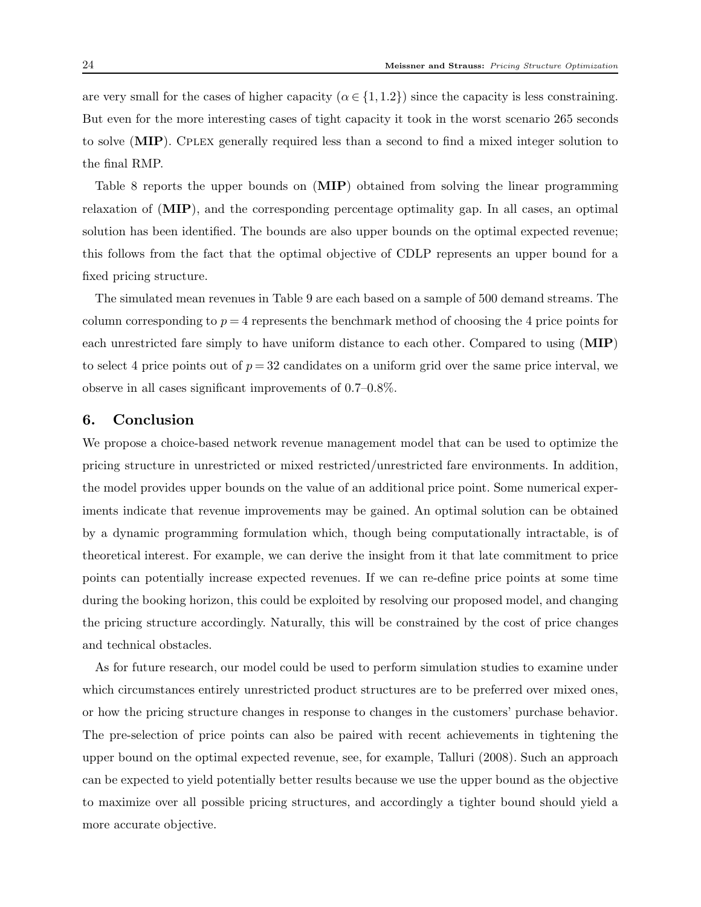are very small for the cases of higher capacity ( $\alpha \in \{1, 1.2\}$ ) since the capacity is less constraining. But even for the more interesting cases of tight capacity it took in the worst scenario 265 seconds to solve (MIP). Cplex generally required less than a second to find a mixed integer solution to the final RMP.

Table 8 reports the upper bounds on  $(MIP)$  obtained from solving the linear programming relaxation of (MIP), and the corresponding percentage optimality gap. In all cases, an optimal solution has been identified. The bounds are also upper bounds on the optimal expected revenue; this follows from the fact that the optimal objective of CDLP represents an upper bound for a fixed pricing structure.

The simulated mean revenues in Table 9 are each based on a sample of 500 demand streams. The column corresponding to  $p = 4$  represents the benchmark method of choosing the 4 price points for each unrestricted fare simply to have uniform distance to each other. Compared to using (MIP) to select 4 price points out of  $p = 32$  candidates on a uniform grid over the same price interval, we observe in all cases significant improvements of 0.7–0.8%.

# 6. Conclusion

We propose a choice-based network revenue management model that can be used to optimize the pricing structure in unrestricted or mixed restricted/unrestricted fare environments. In addition, the model provides upper bounds on the value of an additional price point. Some numerical experiments indicate that revenue improvements may be gained. An optimal solution can be obtained by a dynamic programming formulation which, though being computationally intractable, is of theoretical interest. For example, we can derive the insight from it that late commitment to price points can potentially increase expected revenues. If we can re-define price points at some time during the booking horizon, this could be exploited by resolving our proposed model, and changing the pricing structure accordingly. Naturally, this will be constrained by the cost of price changes and technical obstacles.

As for future research, our model could be used to perform simulation studies to examine under which circumstances entirely unrestricted product structures are to be preferred over mixed ones, or how the pricing structure changes in response to changes in the customers' purchase behavior. The pre-selection of price points can also be paired with recent achievements in tightening the upper bound on the optimal expected revenue, see, for example, Talluri (2008). Such an approach can be expected to yield potentially better results because we use the upper bound as the objective to maximize over all possible pricing structures, and accordingly a tighter bound should yield a more accurate objective.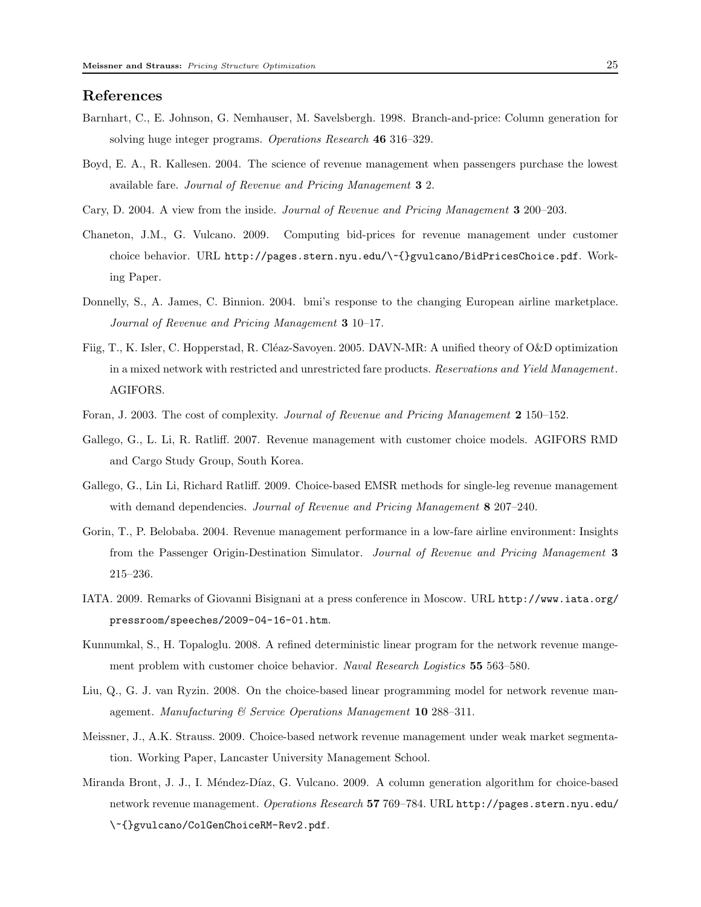# References

- Barnhart, C., E. Johnson, G. Nemhauser, M. Savelsbergh. 1998. Branch-and-price: Column generation for solving huge integer programs. Operations Research 46 316-329.
- Boyd, E. A., R. Kallesen. 2004. The science of revenue management when passengers purchase the lowest available fare. Journal of Revenue and Pricing Management 3 2.
- Cary, D. 2004. A view from the inside. Journal of Revenue and Pricing Management 3 200–203.
- Chaneton, J.M., G. Vulcano. 2009. Computing bid-prices for revenue management under customer choice behavior. URL http://pages.stern.nyu.edu/\~{}gvulcano/BidPricesChoice.pdf. Working Paper.
- Donnelly, S., A. James, C. Binnion. 2004. bmi's response to the changing European airline marketplace. Journal of Revenue and Pricing Management 3 10–17.
- Fiig, T., K. Isler, C. Hopperstad, R. Cléaz-Savoyen. 2005. DAVN-MR: A unified theory of O&D optimization in a mixed network with restricted and unrestricted fare products. Reservations and Yield Management. AGIFORS.
- Foran, J. 2003. The cost of complexity. Journal of Revenue and Pricing Management 2 150–152.
- Gallego, G., L. Li, R. Ratliff. 2007. Revenue management with customer choice models. AGIFORS RMD and Cargo Study Group, South Korea.
- Gallego, G., Lin Li, Richard Ratliff. 2009. Choice-based EMSR methods for single-leg revenue management with demand dependencies. Journal of Revenue and Pricing Management 8 207-240.
- Gorin, T., P. Belobaba. 2004. Revenue management performance in a low-fare airline environment: Insights from the Passenger Origin-Destination Simulator. Journal of Revenue and Pricing Management 3 215–236.
- IATA. 2009. Remarks of Giovanni Bisignani at a press conference in Moscow. URL http://www.iata.org/ pressroom/speeches/2009-04-16-01.htm.
- Kunnumkal, S., H. Topaloglu. 2008. A refined deterministic linear program for the network revenue mangement problem with customer choice behavior. Naval Research Logistics 55 563–580.
- Liu, Q., G. J. van Ryzin. 2008. On the choice-based linear programming model for network revenue management. Manufacturing  $\mathcal C$  Service Operations Management 10 288-311.
- [Meissner,](http://www.meiss.com/) J., A.K. Strauss. 2009. Choice-based network revenue management under weak market segmentation. Working Paper, Lancaster University Management School.
- Miranda Bront, J. J., I. Méndez-Díaz, G. Vulcano. 2009. A column generation algorithm for choice-based network revenue management. Operations Research 57 769-784. URL http://pages.stern.nyu.edu/ \~{}gvulcano/ColGenChoiceRM-Rev2.pdf.